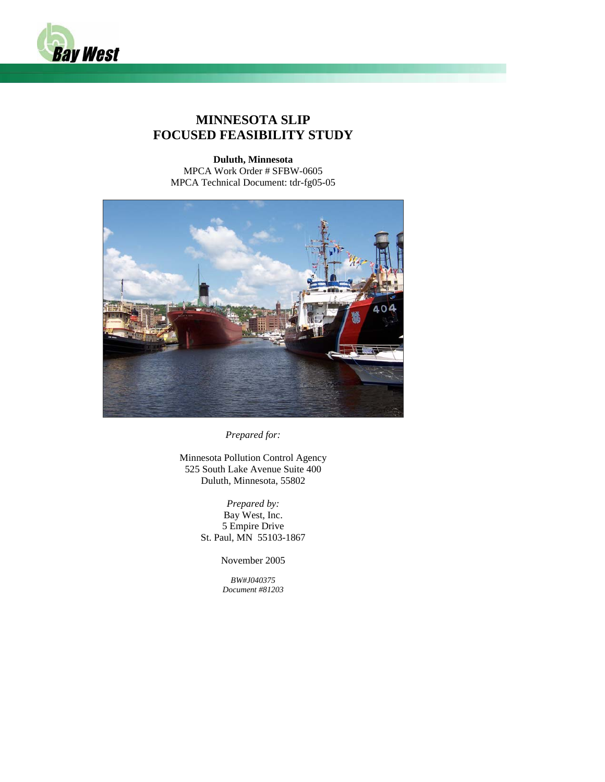

# **MINNESOTA SLIP FOCUSED FEASIBILITY STUDY**

**Duluth, Minnesota**  MPCA Work Order # SFBW-0605 MPCA Technical Document: tdr-fg05-05



*Prepared for:* 

Minnesota Pollution Control Agency 525 South Lake Avenue Suite 400 Duluth, Minnesota, 55802

> *Prepared by:*  Bay West, Inc. 5 Empire Drive St. Paul, MN 55103-1867

> > November 2005

*BW#J040375 Document #81203*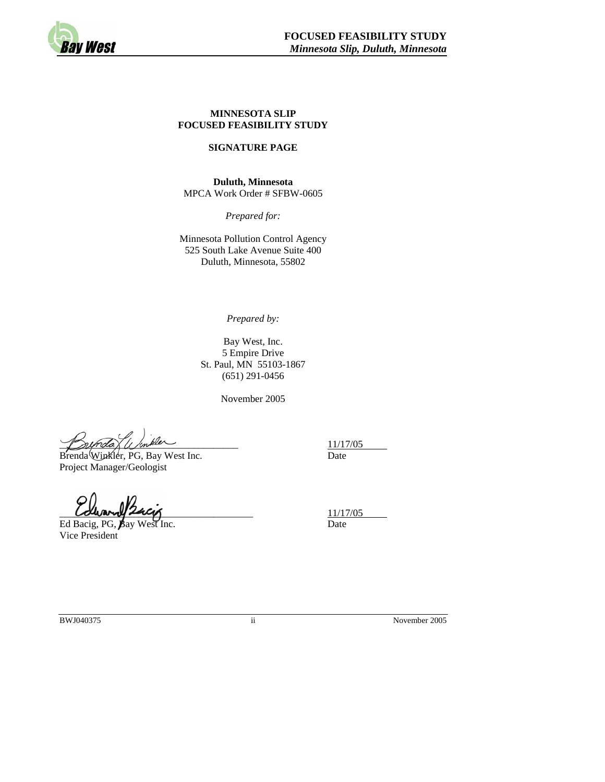

# **MINNESOTA SLIP FOCUSED FEASIBILITY STUDY**

## **SIGNATURE PAGE**

**Duluth, Minnesota** MPCA Work Order # SFBW-0605

*Prepared for:* 

Minnesota Pollution Control Agency 525 South Lake Avenue Suite 400 Duluth, Minnesota, 55802

*Prepared by:* 

Bay West, Inc. 5 Empire Drive St. Paul, MN 55103-1867 (651) 291-0456

November 2005

Brenda Winkler, PG, Bay West Inc. Date Project Manager/Geologist

\_\_\_\_\_\_\_\_\_\_\_\_\_\_\_\_\_\_\_\_\_\_\_\_\_\_\_\_\_\_\_\_\_\_\_\_ 11/17/05

\_\_\_\_\_\_\_\_\_\_\_\_\_\_\_\_\_\_\_\_\_\_\_\_\_\_\_\_\_\_\_\_\_\_\_\_\_\_\_ 11/17/05

Ed Bacig, PG, Bay West Inc. Date Vice President

BWJ040375 ii November 2005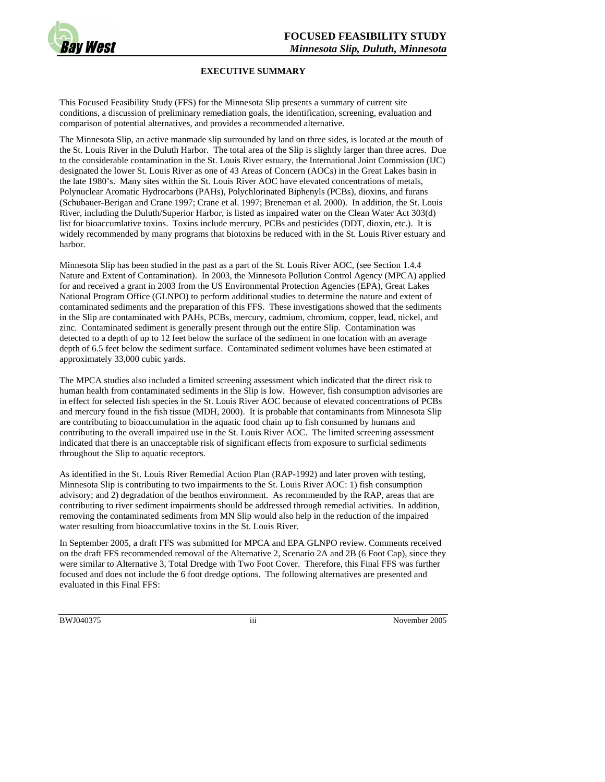

#### **EXECUTIVE SUMMARY**

This Focused Feasibility Study (FFS) for the Minnesota Slip presents a summary of current site conditions, a discussion of preliminary remediation goals, the identification, screening, evaluation and comparison of potential alternatives, and provides a recommended alternative.

The Minnesota Slip, an active manmade slip surrounded by land on three sides, is located at the mouth of the St. Louis River in the Duluth Harbor. The total area of the Slip is slightly larger than three acres. Due to the considerable contamination in the St. Louis River estuary, the International Joint Commission (IJC) designated the lower St. Louis River as one of 43 Areas of Concern (AOCs) in the Great Lakes basin in the late 1980's. Many sites within the St. Louis River AOC have elevated concentrations of metals, Polynuclear Aromatic Hydrocarbons (PAHs), Polychlorinated Biphenyls (PCBs), dioxins, and furans (Schubauer-Berigan and Crane 1997; Crane et al. 1997; Breneman et al. 2000). In addition, the St. Louis River, including the Duluth/Superior Harbor, is listed as impaired water on the Clean Water Act 303(d) list for bioaccumlative toxins. Toxins include mercury, PCBs and pesticides (DDT, dioxin, etc.). It is widely recommended by many programs that biotoxins be reduced with in the St. Louis River estuary and harbor.

Minnesota Slip has been studied in the past as a part of the St. Louis River AOC, (see Section 1.4.4 Nature and Extent of Contamination). In 2003, the Minnesota Pollution Control Agency (MPCA) applied for and received a grant in 2003 from the US Environmental Protection Agencies (EPA), Great Lakes National Program Office (GLNPO) to perform additional studies to determine the nature and extent of contaminated sediments and the preparation of this FFS. These investigations showed that the sediments in the Slip are contaminated with PAHs, PCBs, mercury, cadmium, chromium, copper, lead, nickel, and zinc. Contaminated sediment is generally present through out the entire Slip. Contamination was detected to a depth of up to 12 feet below the surface of the sediment in one location with an average depth of 6.5 feet below the sediment surface. Contaminated sediment volumes have been estimated at approximately 33,000 cubic yards.

The MPCA studies also included a limited screening assessment which indicated that the direct risk to human health from contaminated sediments in the Slip is low. However, fish consumption advisories are in effect for selected fish species in the St. Louis River AOC because of elevated concentrations of PCBs and mercury found in the fish tissue (MDH, 2000). It is probable that contaminants from Minnesota Slip are contributing to bioaccumulation in the aquatic food chain up to fish consumed by humans and contributing to the overall impaired use in the St. Louis River AOC. The limited screening assessment indicated that there is an unacceptable risk of significant effects from exposure to surficial sediments throughout the Slip to aquatic receptors.

As identified in the St. Louis River Remedial Action Plan (RAP-1992) and later proven with testing, Minnesota Slip is contributing to two impairments to the St. Louis River AOC: 1) fish consumption advisory; and 2) degradation of the benthos environment. As recommended by the RAP, areas that are contributing to river sediment impairments should be addressed through remedial activities. In addition, removing the contaminated sediments from MN Slip would also help in the reduction of the impaired water resulting from bioaccumlative toxins in the St. Louis River.

In September 2005, a draft FFS was submitted for MPCA and EPA GLNPO review. Comments received on the draft FFS recommended removal of the Alternative 2, Scenario 2A and 2B (6 Foot Cap), since they were similar to Alternative 3, Total Dredge with Two Foot Cover. Therefore, this Final FFS was further focused and does not include the 6 foot dredge options. The following alternatives are presented and evaluated in this Final FFS:

BWJ040375 iii November 2005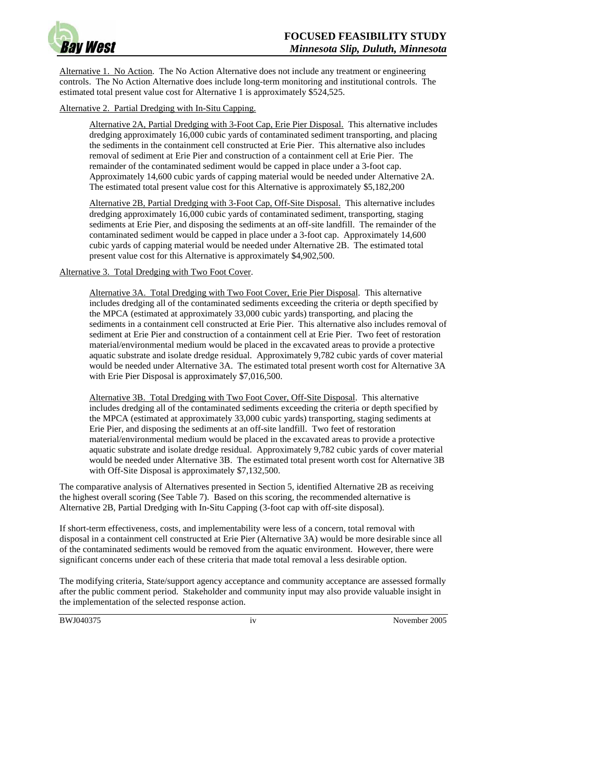

Alternative 1. No Action. The No Action Alternative does not include any treatment or engineering controls. The No Action Alternative does include long-term monitoring and institutional controls. The estimated total present value cost for Alternative 1 is approximately \$524,525.

#### Alternative 2. Partial Dredging with In-Situ Capping.

Alternative 2A, Partial Dredging with 3-Foot Cap, Erie Pier Disposal. This alternative includes dredging approximately 16,000 cubic yards of contaminated sediment transporting, and placing the sediments in the containment cell constructed at Erie Pier. This alternative also includes removal of sediment at Erie Pier and construction of a containment cell at Erie Pier. The remainder of the contaminated sediment would be capped in place under a 3-foot cap. Approximately 14,600 cubic yards of capping material would be needed under Alternative 2A. The estimated total present value cost for this Alternative is approximately \$5,182,200

Alternative 2B, Partial Dredging with 3-Foot Cap, Off-Site Disposal. This alternative includes dredging approximately 16,000 cubic yards of contaminated sediment, transporting, staging sediments at Erie Pier, and disposing the sediments at an off-site landfill. The remainder of the contaminated sediment would be capped in place under a 3-foot cap. Approximately 14,600 cubic yards of capping material would be needed under Alternative 2B. The estimated total present value cost for this Alternative is approximately \$4,902,500.

#### Alternative 3. Total Dredging with Two Foot Cover.

Alternative 3A. Total Dredging with Two Foot Cover, Erie Pier Disposal. This alternative includes dredging all of the contaminated sediments exceeding the criteria or depth specified by the MPCA (estimated at approximately 33,000 cubic yards) transporting, and placing the sediments in a containment cell constructed at Erie Pier. This alternative also includes removal of sediment at Erie Pier and construction of a containment cell at Erie Pier. Two feet of restoration material/environmental medium would be placed in the excavated areas to provide a protective aquatic substrate and isolate dredge residual. Approximately 9,782 cubic yards of cover material would be needed under Alternative 3A. The estimated total present worth cost for Alternative 3A with Erie Pier Disposal is approximately \$7,016,500.

Alternative 3B. Total Dredging with Two Foot Cover, Off-Site Disposal. This alternative includes dredging all of the contaminated sediments exceeding the criteria or depth specified by the MPCA (estimated at approximately 33,000 cubic yards) transporting, staging sediments at Erie Pier, and disposing the sediments at an off-site landfill. Two feet of restoration material/environmental medium would be placed in the excavated areas to provide a protective aquatic substrate and isolate dredge residual. Approximately 9,782 cubic yards of cover material would be needed under Alternative 3B. The estimated total present worth cost for Alternative 3B with Off-Site Disposal is approximately \$7,132,500.

The comparative analysis of Alternatives presented in Section 5, identified Alternative 2B as receiving the highest overall scoring (See Table 7). Based on this scoring, the recommended alternative is Alternative 2B, Partial Dredging with In-Situ Capping (3-foot cap with off-site disposal).

If short-term effectiveness, costs, and implementability were less of a concern, total removal with disposal in a containment cell constructed at Erie Pier (Alternative 3A) would be more desirable since all of the contaminated sediments would be removed from the aquatic environment. However, there were significant concerns under each of these criteria that made total removal a less desirable option.

The modifying criteria, State/support agency acceptance and community acceptance are assessed formally after the public comment period. Stakeholder and community input may also provide valuable insight in the implementation of the selected response action.

BWJ040375 iv November 2005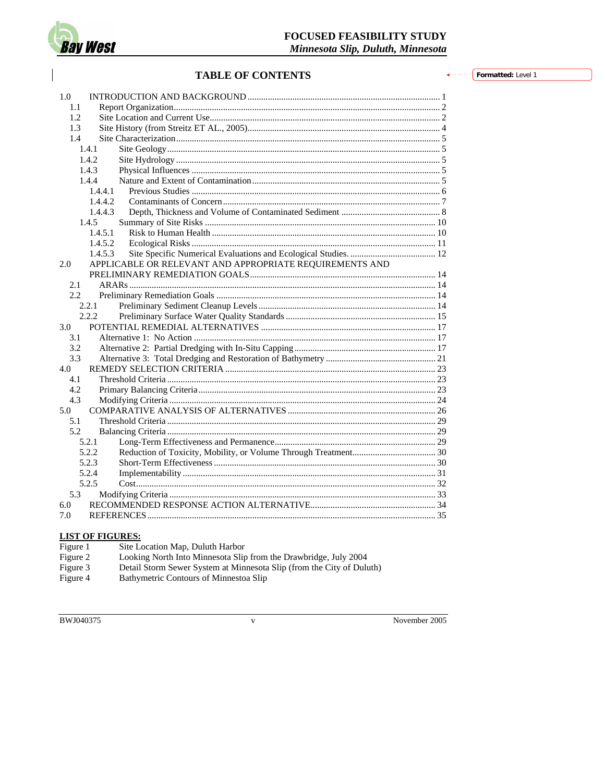

# **TABLE OF CONTENTS**

Formatted: Level 1  $\leftarrow - -$ 

| 1.0  |                                                         |  |
|------|---------------------------------------------------------|--|
| 1.1  |                                                         |  |
| 1.2. |                                                         |  |
| 1.3  |                                                         |  |
| 1.4  |                                                         |  |
|      | 1.4.1                                                   |  |
|      | 1.4.2                                                   |  |
|      | 1.4.3                                                   |  |
|      | 1.4.4                                                   |  |
|      | 1.4.4.1                                                 |  |
|      | 1.4.4.2                                                 |  |
|      | 1.4.4.3                                                 |  |
|      | 1.4.5                                                   |  |
|      | 1.4.5.1                                                 |  |
|      | 1.4.5.2                                                 |  |
|      | 1.4.5.3                                                 |  |
| 2.0  | APPLICABLE OR RELEVANT AND APPROPRIATE REQUIREMENTS AND |  |
|      |                                                         |  |
| 2.1  |                                                         |  |
| 2.2  |                                                         |  |
|      | 2.2.1                                                   |  |
|      | 2.2.2                                                   |  |
| 3.0  |                                                         |  |
| 3.1  |                                                         |  |
| 3.2  |                                                         |  |
| 3.3  |                                                         |  |
| 4.0  |                                                         |  |
| 4.1  |                                                         |  |
| 4.2  |                                                         |  |
| 4.3  |                                                         |  |
| 5.0  |                                                         |  |
| 5.1  |                                                         |  |
| 5.2  |                                                         |  |
|      | 5.2.1                                                   |  |
|      | 5.2.2                                                   |  |
|      | 5.2.3                                                   |  |
|      | 5.2.4                                                   |  |
|      | 5.2.5                                                   |  |
| 5.3  |                                                         |  |
| 6.0  |                                                         |  |
| 7.0  |                                                         |  |

# **LIST OF FIGURES:**

| Figure 1 | Site Location Map, Duluth Harbor                                      |
|----------|-----------------------------------------------------------------------|
| Figure 2 | Looking North Into Minnesota Slip from the Drawbridge, July 2004      |
| Figure 3 | Detail Storm Sewer System at Minnesota Slip (from the City of Duluth) |
| Figure 4 | Bathymetric Contours of Minnestoa Slip                                |

 $\overline{\mathbf{v}}$ 

BWJ040375

November 2005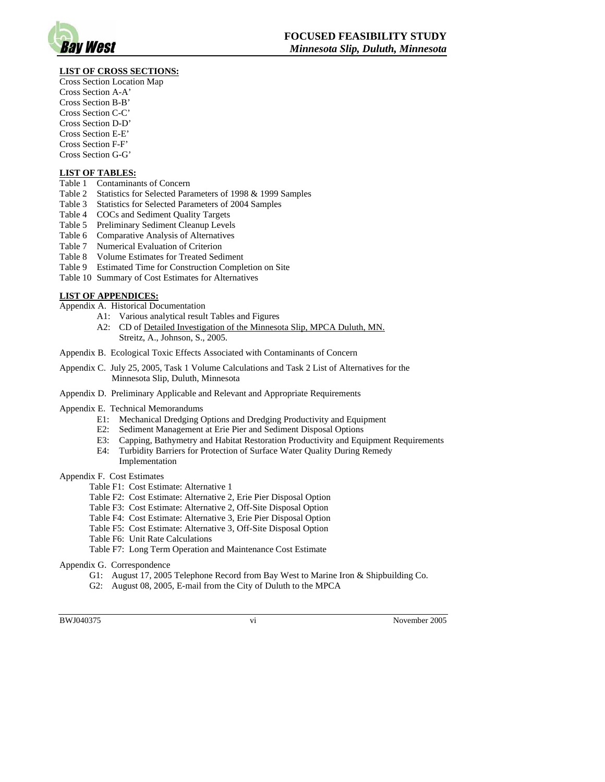

## **LIST OF CROSS SECTIONS:**

Cross Section Location Map Cross Section A-A' Cross Section B-B' Cross Section C-C' Cross Section D-D' Cross Section E-E' Cross Section F-F' Cross Section G-G'

#### **LIST OF TABLES:**

- Table 1 Contaminants of Concern
- Table 2 Statistics for Selected Parameters of 1998 & 1999 Samples
- Table 3 Statistics for Selected Parameters of 2004 Samples
- Table 4 COCs and Sediment Quality Targets
- Table 5 Preliminary Sediment Cleanup Levels
- Table 6 Comparative Analysis of Alternatives
- Table 7 Numerical Evaluation of Criterion
- Table 8 Volume Estimates for Treated Sediment
- Table 9 Estimated Time for Construction Completion on Site
- Table 10 Summary of Cost Estimates for Alternatives

#### **LIST OF APPENDICES:**

- Appendix A. Historical Documentation
	- A1: Various analytical result Tables and Figures
		- A2: CD of Detailed Investigation of the Minnesota Slip, MPCA Duluth, MN. Streitz, A., Johnson, S., 2005.
- Appendix B. Ecological Toxic Effects Associated with Contaminants of Concern
- Appendix C. July 25, 2005, Task 1 Volume Calculations and Task 2 List of Alternatives for the Minnesota Slip, Duluth, Minnesota
- Appendix D. Preliminary Applicable and Relevant and Appropriate Requirements
- Appendix E. Technical Memorandums
	- E1: Mechanical Dredging Options and Dredging Productivity and Equipment
	- E2: Sediment Management at Erie Pier and Sediment Disposal Options
	- E3: Capping, Bathymetry and Habitat Restoration Productivity and Equipment Requirements
	- E4: Turbidity Barriers for Protection of Surface Water Quality During Remedy Implementation

#### Appendix F. Cost Estimates

- Table F1: Cost Estimate: Alternative 1
- Table F2: Cost Estimate: Alternative 2, Erie Pier Disposal Option
- Table F3: Cost Estimate: Alternative 2, Off-Site Disposal Option
- Table F4: Cost Estimate: Alternative 3, Erie Pier Disposal Option
- Table F5: Cost Estimate: Alternative 3, Off-Site Disposal Option
- Table F6: Unit Rate Calculations
- Table F7: Long Term Operation and Maintenance Cost Estimate
- Appendix G. Correspondence
	- G1: August 17, 2005 Telephone Record from Bay West to Marine Iron & Shipbuilding Co.
	- G2: August 08, 2005, E-mail from the City of Duluth to the MPCA

BWJ040375 vi November 2005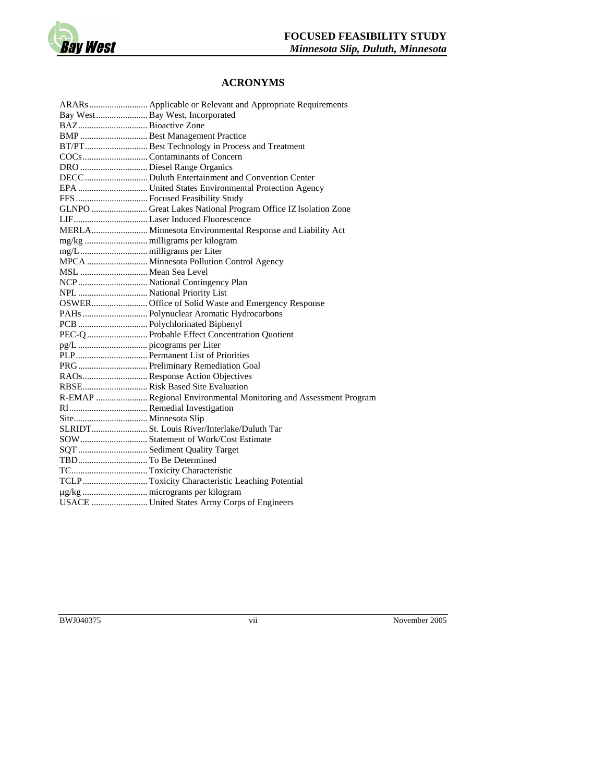

# **ACRONYMS**

|                             | ARARs  Applicable or Relevant and Appropriate Requirements       |
|-----------------------------|------------------------------------------------------------------|
|                             | Bay West Bay West, Incorporated                                  |
| BAZ Bioactive Zone          |                                                                  |
|                             | BMP  Best Management Practice                                    |
|                             | BT/PTBest Technology in Process and Treatment                    |
|                             |                                                                  |
|                             | DRO  Diesel Range Organics                                       |
|                             |                                                                  |
|                             |                                                                  |
|                             | FFS  Focused Feasibility Study                                   |
|                             | GLNPO  Great Lakes National Program Office IZ Isolation Zone     |
|                             |                                                                  |
|                             | MERLA Minnesota Environmental Response and Liability Act         |
|                             |                                                                  |
|                             |                                                                  |
|                             | MPCA  Minnesota Pollution Control Agency                         |
| MSL  Mean Sea Level         |                                                                  |
|                             | NCP National Contingency Plan                                    |
| NPL  National Priority List |                                                                  |
|                             | OSWER Office of Solid Waste and Emergency Response               |
|                             |                                                                  |
|                             | PCB  Polychlorinated Biphenyl                                    |
|                             | PEC-Q  Probable Effect Concentration Quotient                    |
|                             |                                                                  |
|                             |                                                                  |
|                             | PRG Preliminary Remediation Goal                                 |
|                             | RAOs Response Action Objectives                                  |
|                             | RBSE Risk Based Site Evaluation                                  |
|                             | R-EMAP  Regional Environmental Monitoring and Assessment Program |
|                             |                                                                  |
|                             |                                                                  |
|                             | SLRIDT St. Louis River/Interlake/Duluth Tar                      |
|                             |                                                                  |
|                             | SQT  Sediment Quality Target                                     |
| TBDTo Be Determined         |                                                                  |
|                             |                                                                  |
|                             | TCLP Toxicity Characteristic Leaching Potential                  |
|                             | µg/kg  micrograms per kilogram                                   |
|                             | USACE  United States Army Corps of Engineers                     |
|                             |                                                                  |

BWJ040375 vii November 2005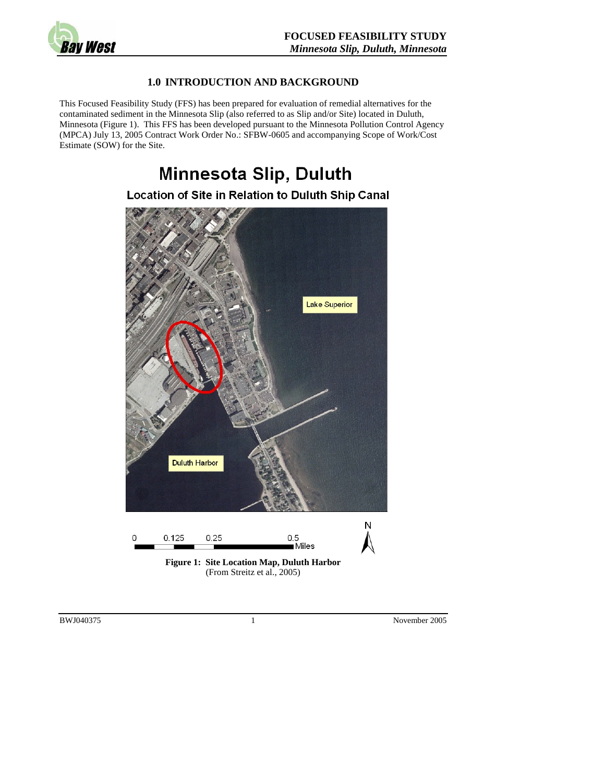<span id="page-7-0"></span>

# **1.0 INTRODUCTION AND BACKGROUND**

This Focused Feasibility Study (FFS) has been prepared for evaluation of remedial alternatives for the contaminated sediment in the Minnesota Slip (also referred to as Slip and/or Site) located in Duluth, Minnesota (Figure 1). This FFS has been developed pursuant to the Minnesota Pollution Control Agency (MPCA) July 13, 2005 Contract Work Order No.: SFBW-0605 and accompanying Scope of Work/Cost Estimate (SOW) for the Site.

# Minnesota Slip, Duluth Location of Site in Relation to Duluth Ship Canal Lake Superior **Duluth Harbor** N 0.5<br>Miles 0.125  $0.25$ n **Figure 1: Site Location Map, Duluth Harbor**  (From Streitz et al., 2005)

BWJ040375 1 November 2005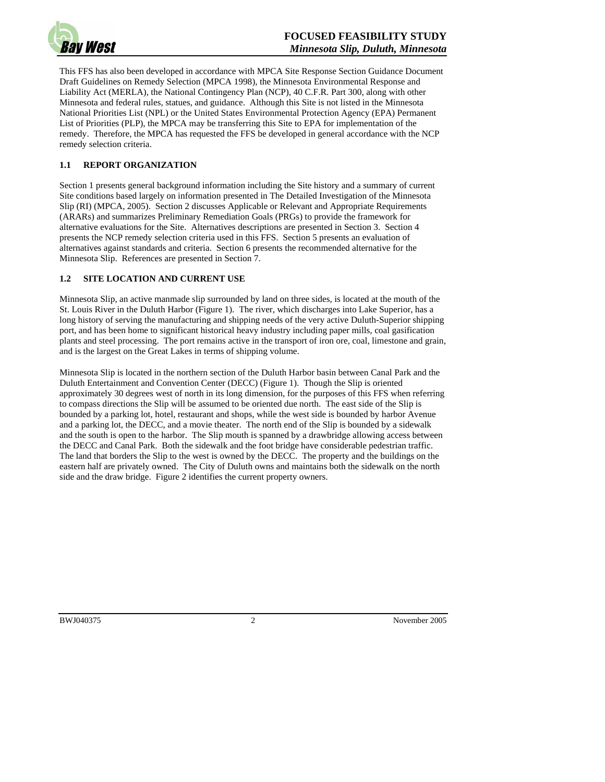<span id="page-8-0"></span>

This FFS has also been developed in accordance with MPCA Site Response Section Guidance Document Draft Guidelines on Remedy Selection (MPCA 1998), the Minnesota Environmental Response and Liability Act (MERLA), the National Contingency Plan (NCP), 40 C.F.R. Part 300, along with other Minnesota and federal rules, statues, and guidance. Although this Site is not listed in the Minnesota National Priorities List (NPL) or the United States Environmental Protection Agency (EPA) Permanent List of Priorities (PLP), the MPCA may be transferring this Site to EPA for implementation of the remedy. Therefore, the MPCA has requested the FFS be developed in general accordance with the NCP remedy selection criteria.

## **1.1 REPORT ORGANIZATION**

Section 1 presents general background information including the Site history and a summary of current Site conditions based largely on information presented in The Detailed Investigation of the Minnesota Slip (RI) (MPCA, 2005). Section 2 discusses Applicable or Relevant and Appropriate Requirements (ARARs) and summarizes Preliminary Remediation Goals (PRGs) to provide the framework for alternative evaluations for the Site. Alternatives descriptions are presented in Section 3. Section 4 presents the NCP remedy selection criteria used in this FFS. Section 5 presents an evaluation of alternatives against standards and criteria. Section 6 presents the recommended alternative for the Minnesota Slip. References are presented in Section 7.

## **1.2 SITE LOCATION AND CURRENT USE**

Minnesota Slip, an active manmade slip surrounded by land on three sides, is located at the mouth of the St. Louis River in the Duluth Harbor (Figure 1). The river, which discharges into Lake Superior, has a long history of serving the manufacturing and shipping needs of the very active Duluth-Superior shipping port, and has been home to significant historical heavy industry including paper mills, coal gasification plants and steel processing. The port remains active in the transport of iron ore, coal, limestone and grain, and is the largest on the Great Lakes in terms of shipping volume.

Minnesota Slip is located in the northern section of the Duluth Harbor basin between Canal Park and the Duluth Entertainment and Convention Center (DECC) (Figure 1). Though the Slip is oriented approximately 30 degrees west of north in its long dimension, for the purposes of this FFS when referring to compass directions the Slip will be assumed to be oriented due north. The east side of the Slip is bounded by a parking lot, hotel, restaurant and shops, while the west side is bounded by harbor Avenue and a parking lot, the DECC, and a movie theater. The north end of the Slip is bounded by a sidewalk and the south is open to the harbor. The Slip mouth is spanned by a drawbridge allowing access between the DECC and Canal Park. Both the sidewalk and the foot bridge have considerable pedestrian traffic. The land that borders the Slip to the west is owned by the DECC. The property and the buildings on the eastern half are privately owned. The City of Duluth owns and maintains both the sidewalk on the north side and the draw bridge. Figure 2 identifies the current property owners.

BWJ040375 2 November 2005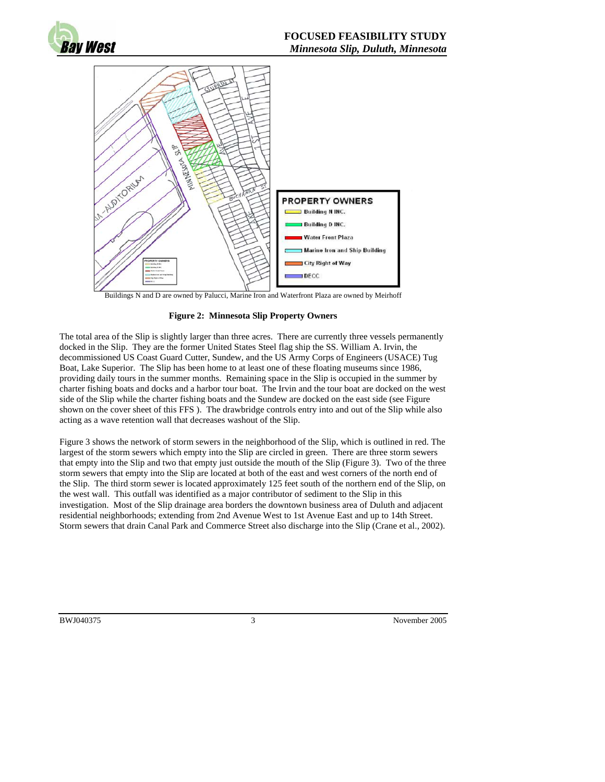



Buildings N and D are owned by Palucci, Marine Iron and Waterfront Plaza are owned by Meirhoff

#### **Figure 2: Minnesota Slip Property Owners**

The total area of the Slip is slightly larger than three acres. There are currently three vessels permanently docked in the Slip. They are the former United States Steel flag ship the SS. William A. Irvin, the decommissioned US Coast Guard Cutter, Sundew, and the US Army Corps of Engineers (USACE) Tug Boat, Lake Superior. The Slip has been home to at least one of these floating museums since 1986, providing daily tours in the summer months. Remaining space in the Slip is occupied in the summer by charter fishing boats and docks and a harbor tour boat. The Irvin and the tour boat are docked on the west side of the Slip while the charter fishing boats and the Sundew are docked on the east side (see Figure shown on the cover sheet of this FFS ). The drawbridge controls entry into and out of the Slip while also acting as a wave retention wall that decreases washout of the Slip.

Figure 3 shows the network of storm sewers in the neighborhood of the Slip, which is outlined in red. The largest of the storm sewers which empty into the Slip are circled in green. There are three storm sewers that empty into the Slip and two that empty just outside the mouth of the Slip (Figure 3). Two of the three storm sewers that empty into the Slip are located at both of the east and west corners of the north end of the Slip. The third storm sewer is located approximately 125 feet south of the northern end of the Slip, on the west wall. This outfall was identified as a major contributor of sediment to the Slip in this investigation. Most of the Slip drainage area borders the downtown business area of Duluth and adjacent residential neighborhoods; extending from 2nd Avenue West to 1st Avenue East and up to 14th Street. Storm sewers that drain Canal Park and Commerce Street also discharge into the Slip (Crane et al., 2002).

BWJ040375 3 November 2005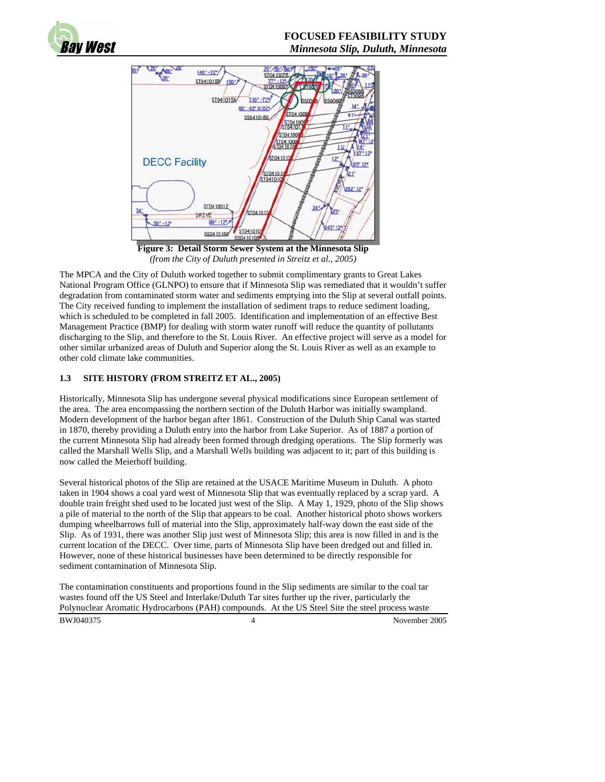<span id="page-10-0"></span>





The MPCA and the City of Duluth worked together to submit complimentary grants to Great Lakes National Program Office (GLNPO) to ensure that if Minnesota Slip was remediated that it wouldn't suffer degradation from contaminated storm water and sediments emptying into the Slip at several outfall points. The City received funding to implement the installation of sediment traps to reduce sediment loading, which is scheduled to be completed in fall 2005. Identification and implementation of an effective Best Management Practice (BMP) for dealing with storm water runoff will reduce the quantity of pollutants discharging to the Slip, and therefore to the St. Louis River. An effective project will serve as a model for other similar urbanized areas of Duluth and Superior along the St. Louis River as well as an example to other cold climate lake communities.

#### **1.3 SITE HISTORY (FROM STREITZ ET AL., 2005)**

Historically, Minnesota Slip has undergone several physical modifications since European settlement of the area. The area encompassing the northern section of the Duluth Harbor was initially swampland. Modern development of the harbor began after 1861. Construction of the Duluth Ship Canal was started in 1870, thereby providing a Duluth entry into the harbor from Lake Superior. As of 1887 a portion of the current Minnesota Slip had already been formed through dredging operations. The Slip formerly was called the Marshall Wells Slip, and a Marshall Wells building was adjacent to it; part of this building is now called the Meierhoff building.

Several historical photos of the Slip are retained at the USACE Maritime Museum in Duluth. A photo taken in 1904 shows a coal yard west of Minnesota Slip that was eventually replaced by a scrap yard. A double train freight shed used to be located just west of the Slip. A May 1, 1929, photo of the Slip shows a pile of material to the north of the Slip that appears to be coal. Another historical photo shows workers dumping wheelbarrows full of material into the Slip, approximately half-way down the east side of the Slip. As of 1931, there was another Slip just west of Minnesota Slip; this area is now filled in and is the current location of the DECC. Over time, parts of Minnesota Slip have been dredged out and filled in. However, none of these historical businesses have been determined to be directly responsible for sediment contamination of Minnesota Slip.

BWJ040375 4 November 2005 The contamination constituents and proportions found in the Slip sediments are similar to the coal tar wastes found off the US Steel and Interlake/Duluth Tar sites further up the river, particularly the Polynuclear Aromatic Hydrocarbons (PAH) compounds. At the US Steel Site the steel process waste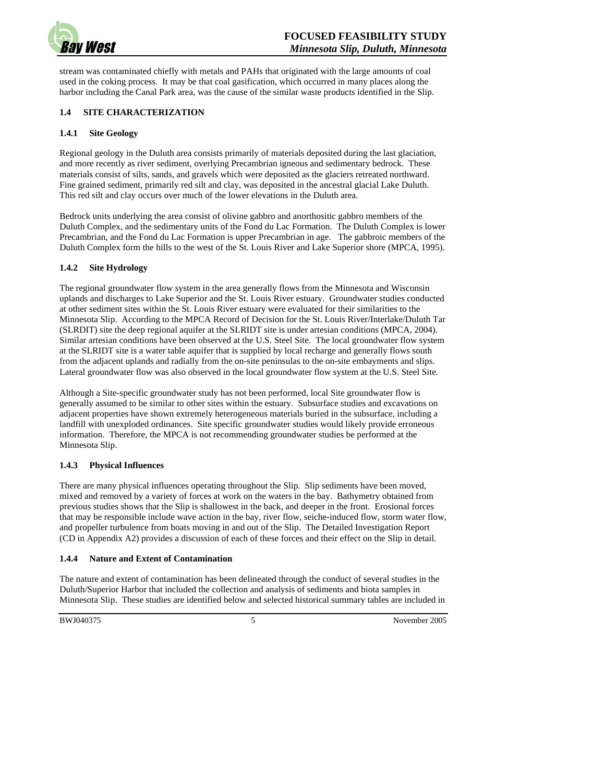<span id="page-11-0"></span>

stream was contaminated chiefly with metals and PAHs that originated with the large amounts of coal used in the coking process. It may be that coal gasification, which occurred in many places along the harbor including the Canal Park area, was the cause of the similar waste products identified in the Slip.

## **1.4 SITE CHARACTERIZATION**

## **1.4.1 Site Geology**

Regional geology in the Duluth area consists primarily of materials deposited during the last glaciation, and more recently as river sediment, overlying Precambrian igneous and sedimentary bedrock. These materials consist of silts, sands, and gravels which were deposited as the glaciers retreated northward. Fine grained sediment, primarily red silt and clay, was deposited in the ancestral glacial Lake Duluth. This red silt and clay occurs over much of the lower elevations in the Duluth area.

Bedrock units underlying the area consist of olivine gabbro and anorthositic gabbro members of the Duluth Complex, and the sedimentary units of the Fond du Lac Formation. The Duluth Complex is lower Precambrian, and the Fond du Lac Formation is upper Precambrian in age. The gabbroic members of the Duluth Complex form the hills to the west of the St. Louis River and Lake Superior shore (MPCA, 1995).

## **1.4.2 Site Hydrology**

The regional groundwater flow system in the area generally flows from the Minnesota and Wisconsin uplands and discharges to Lake Superior and the St. Louis River estuary. Groundwater studies conducted at other sediment sites within the St. Louis River estuary were evaluated for their similarities to the Minnesota Slip. According to the MPCA Record of Decision for the St. Louis River/Interlake/Duluth Tar (SLRDIT) site the deep regional aquifer at the SLRIDT site is under artesian conditions (MPCA, 2004). Similar artesian conditions have been observed at the U.S. Steel Site. The local groundwater flow system at the SLRIDT site is a water table aquifer that is supplied by local recharge and generally flows south from the adjacent uplands and radially from the on-site peninsulas to the on-site embayments and slips. Lateral groundwater flow was also observed in the local groundwater flow system at the U.S. Steel Site.

Although a Site-specific groundwater study has not been performed, local Site groundwater flow is generally assumed to be similar to other sites within the estuary. Subsurface studies and excavations on adjacent properties have shown extremely heterogeneous materials buried in the subsurface, including a landfill with unexploded ordinances. Site specific groundwater studies would likely provide erroneous information. Therefore, the MPCA is not recommending groundwater studies be performed at the Minnesota Slip.

#### **1.4.3 Physical Influences**

There are many physical influences operating throughout the Slip. Slip sediments have been moved, mixed and removed by a variety of forces at work on the waters in the bay. Bathymetry obtained from previous studies shows that the Slip is shallowest in the back, and deeper in the front. Erosional forces that may be responsible include wave action in the bay, river flow, seiche-induced flow, storm water flow, and propeller turbulence from boats moving in and out of the Slip. The Detailed Investigation Report (CD in Appendix A2) provides a discussion of each of these forces and their effect on the Slip in detail.

#### **1.4.4 Nature and Extent of Contamination**

The nature and extent of contamination has been delineated through the conduct of several studies in the Duluth/Superior Harbor that included the collection and analysis of sediments and biota samples in Minnesota Slip. These studies are identified below and selected historical summary tables are included in

BWJ040375 5 November 2005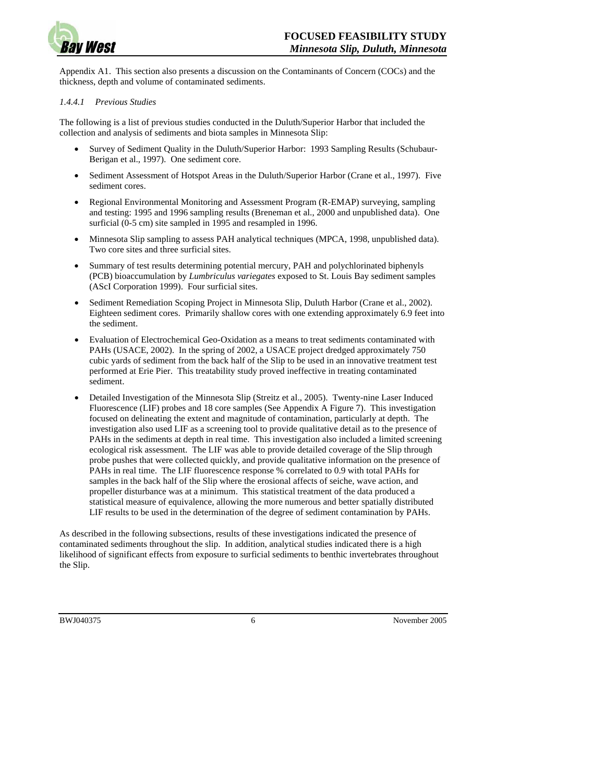<span id="page-12-0"></span>

Appendix A1. This section also presents a discussion on the Contaminants of Concern (COCs) and the thickness, depth and volume of contaminated sediments.

#### *1.4.4.1 Previous Studies*

The following is a list of previous studies conducted in the Duluth/Superior Harbor that included the collection and analysis of sediments and biota samples in Minnesota Slip:

- Survey of Sediment Quality in the Duluth/Superior Harbor: 1993 Sampling Results (Schubaur-Berigan et al., 1997). One sediment core.
- Sediment Assessment of Hotspot Areas in the Duluth/Superior Harbor (Crane et al., 1997). Five sediment cores.
- Regional Environmental Monitoring and Assessment Program (R-EMAP) surveying, sampling and testing: 1995 and 1996 sampling results (Breneman et al., 2000 and unpublished data). One surficial (0-5 cm) site sampled in 1995 and resampled in 1996.
- Minnesota Slip sampling to assess PAH analytical techniques (MPCA, 1998, unpublished data). Two core sites and three surficial sites.
- Summary of test results determining potential mercury, PAH and polychlorinated biphenyls (PCB) bioaccumulation by *Lumbriculus variegates* exposed to St. Louis Bay sediment samples (AScI Corporation 1999). Four surficial sites.
- Sediment Remediation Scoping Project in Minnesota Slip, Duluth Harbor (Crane et al., 2002). Eighteen sediment cores. Primarily shallow cores with one extending approximately 6.9 feet into the sediment.
- Evaluation of Electrochemical Geo-Oxidation as a means to treat sediments contaminated with PAHs (USACE, 2002). In the spring of 2002, a USACE project dredged approximately 750 cubic yards of sediment from the back half of the Slip to be used in an innovative treatment test performed at Erie Pier. This treatability study proved ineffective in treating contaminated sediment.
- Detailed Investigation of the Minnesota Slip (Streitz et al., 2005). Twenty-nine Laser Induced Fluorescence (LIF) probes and 18 core samples (See Appendix A Figure 7). This investigation focused on delineating the extent and magnitude of contamination, particularly at depth. The investigation also used LIF as a screening tool to provide qualitative detail as to the presence of PAHs in the sediments at depth in real time. This investigation also included a limited screening ecological risk assessment. The LIF was able to provide detailed coverage of the Slip through probe pushes that were collected quickly, and provide qualitative information on the presence of PAHs in real time. The LIF fluorescence response % correlated to 0.9 with total PAHs for samples in the back half of the Slip where the erosional affects of seiche, wave action, and propeller disturbance was at a minimum. This statistical treatment of the data produced a statistical measure of equivalence, allowing the more numerous and better spatially distributed LIF results to be used in the determination of the degree of sediment contamination by PAHs.

As described in the following subsections, results of these investigations indicated the presence of contaminated sediments throughout the slip. In addition, analytical studies indicated there is a high likelihood of significant effects from exposure to surficial sediments to benthic invertebrates throughout the Slip.

BWJ040375 6 November 2005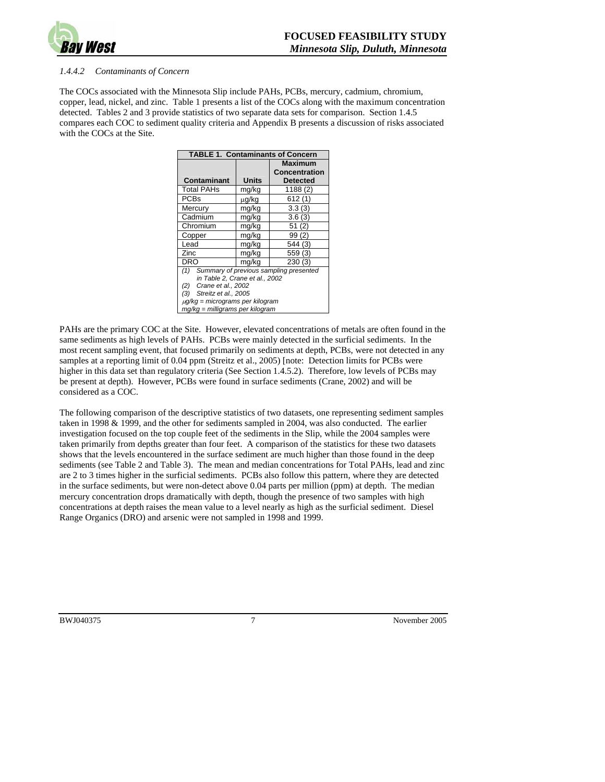<span id="page-13-0"></span>

#### *1.4.4.2 Contaminants of Concern*

The COCs associated with the Minnesota Slip include PAHs, PCBs, mercury, cadmium, chromium, copper, lead, nickel, and zinc. Table 1 presents a list of the COCs along with the maximum concentration detected. Tables 2 and 3 provide statistics of two separate data sets for comparison. Section 1.4.5 compares each COC to sediment quality criteria and Appendix B presents a discussion of risks associated with the COCs at the Site.

| <b>TABLE 1. Contaminants of Concern</b>                                         |       |                      |  |  |  |  |  |
|---------------------------------------------------------------------------------|-------|----------------------|--|--|--|--|--|
|                                                                                 |       | Maximum              |  |  |  |  |  |
|                                                                                 |       | <b>Concentration</b> |  |  |  |  |  |
| <b>Contaminant</b>                                                              | Units | <b>Detected</b>      |  |  |  |  |  |
| <b>Total PAHs</b>                                                               | mg/kg | 1188 (2)             |  |  |  |  |  |
| <b>PCBs</b>                                                                     | µg/kg | 612(1)               |  |  |  |  |  |
| Mercury                                                                         | mg/kg | 3.3(3)               |  |  |  |  |  |
| Cadmium                                                                         | mg/kg | 3.6 (3)              |  |  |  |  |  |
| Chromium                                                                        | mg/kg | 51(2)                |  |  |  |  |  |
| Copper                                                                          | mg/kg | 99 (2)               |  |  |  |  |  |
| Lead                                                                            | mg/kg | 544 (3)              |  |  |  |  |  |
| Zinc                                                                            | mg/kg | 559 (3)              |  |  |  |  |  |
| DRO                                                                             | mg/kg | 230 (3)              |  |  |  |  |  |
| Summary of previous sampling presented<br>(1)<br>in Table 2, Crane et al., 2002 |       |                      |  |  |  |  |  |
| (2) Crane et al., 2002                                                          |       |                      |  |  |  |  |  |
| (3)<br>Streitz et al., 2005                                                     |       |                      |  |  |  |  |  |
| $\mu$ g/kg = micrograms per kilogram                                            |       |                      |  |  |  |  |  |
| mg/kg = milligrams per kilogram                                                 |       |                      |  |  |  |  |  |

PAHs are the primary COC at the Site. However, elevated concentrations of metals are often found in the same sediments as high levels of PAHs. PCBs were mainly detected in the surficial sediments. In the most recent sampling event, that focused primarily on sediments at depth, PCBs, were not detected in any samples at a reporting limit of 0.04 ppm (Streitz et al., 2005) [note: Detection limits for PCBs were higher in this data set than regulatory criteria (See Section 1.4.5.2). Therefore, low levels of PCBs may be present at depth). However, PCBs were found in surface sediments (Crane, 2002) and will be considered as a COC.

The following comparison of the descriptive statistics of two datasets, one representing sediment samples taken in 1998 & 1999, and the other for sediments sampled in 2004, was also conducted. The earlier investigation focused on the top couple feet of the sediments in the Slip, while the 2004 samples were taken primarily from depths greater than four feet. A comparison of the statistics for these two datasets shows that the levels encountered in the surface sediment are much higher than those found in the deep sediments (see Table 2 and Table 3). The mean and median concentrations for Total PAHs, lead and zinc are 2 to 3 times higher in the surficial sediments. PCBs also follow this pattern, where they are detected in the surface sediments, but were non-detect above 0.04 parts per million (ppm) at depth. The median mercury concentration drops dramatically with depth, though the presence of two samples with high concentrations at depth raises the mean value to a level nearly as high as the surficial sediment. Diesel Range Organics (DRO) and arsenic were not sampled in 1998 and 1999.

BWJ040375 7 November 2005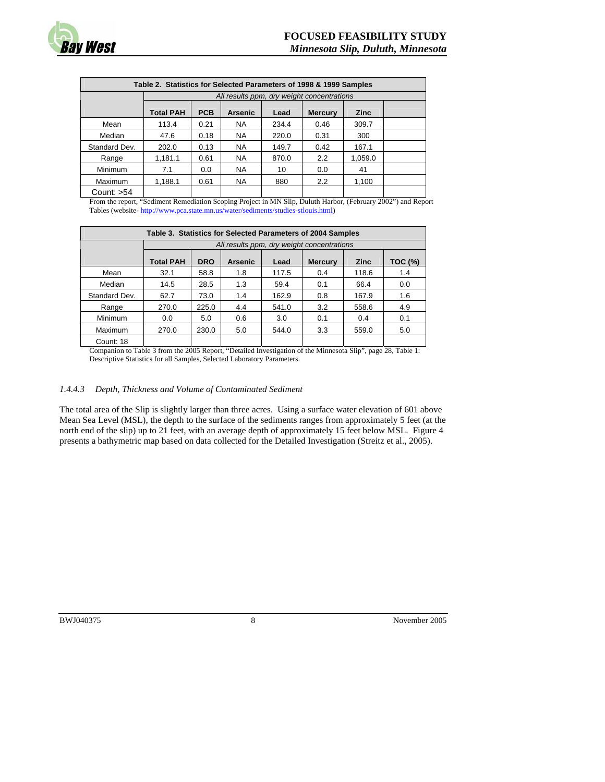<span id="page-14-0"></span>

| Table 2. Statistics for Selected Parameters of 1998 & 1999 Samples |                  |            |                |       |                                            |             |  |
|--------------------------------------------------------------------|------------------|------------|----------------|-------|--------------------------------------------|-------------|--|
|                                                                    |                  |            |                |       | All results ppm, dry weight concentrations |             |  |
|                                                                    | <b>Total PAH</b> | <b>PCB</b> | <b>Arsenic</b> | Lead  | <b>Mercury</b>                             | <b>Zinc</b> |  |
| Mean                                                               | 113.4            | 0.21       | <b>NA</b>      | 234.4 | 0.46                                       | 309.7       |  |
| Median                                                             | 47.6             | 0.18       | <b>NA</b>      | 220.0 | 0.31                                       | 300         |  |
| Standard Dev.                                                      | 202.0            | 0.13       | <b>NA</b>      | 149.7 | 0.42                                       | 167.1       |  |
| Range                                                              | 1,181.1          | 0.61       | <b>NA</b>      | 870.0 | 2.2                                        | 1.059.0     |  |
| Minimum                                                            | 7.1              | 0.0        | <b>NA</b>      | 10    | 0.0                                        | 41          |  |
| Maximum                                                            | 1.188.1          | 0.61       | <b>NA</b>      | 880   | 2.2                                        | 1.100       |  |
| Count: $>54$                                                       |                  |            |                |       |                                            |             |  |

From the report, "Sediment Remediation Scoping Project in MN Slip, Duluth Harbor, (February 2002") and Report Tables (website- [http://www.pca.state.mn.us/water/sediments/studies-stlouis.html\)](http://www.pca.state.mn.us/water/sediments/studies-stlouis.html)

| Table 3. Statistics for Selected Parameters of 2004 Samples |                  |            |                |       |                                            |             |                |
|-------------------------------------------------------------|------------------|------------|----------------|-------|--------------------------------------------|-------------|----------------|
|                                                             |                  |            |                |       | All results ppm, dry weight concentrations |             |                |
|                                                             | <b>Total PAH</b> | <b>DRO</b> | <b>Arsenic</b> | Lead  | <b>Mercury</b>                             | <b>Zinc</b> | <b>TOC (%)</b> |
| Mean                                                        | 32.1             | 58.8       | 1.8            | 117.5 | 0.4                                        | 118.6       | 1.4            |
| Median                                                      | 14.5             | 28.5       | 1.3            | 59.4  | 0.1                                        | 66.4        | 0.0            |
| Standard Dev.                                               | 62.7             | 73.0       | 1.4            | 162.9 | 0.8                                        | 167.9       | 1.6            |
| Range                                                       | 270.0            | 225.0      | 4.4            | 541.0 | 3.2                                        | 558.6       | 4.9            |
| Minimum                                                     | 0.0              | 5.0        | 0.6            | 3.0   | 0.1                                        | 0.4         | 0.1            |
| Maximum                                                     | 270.0            | 230.0      | 5.0            | 544.0 | 3.3                                        | 559.0       | 5.0            |
| Count: 18                                                   |                  |            |                |       |                                            |             |                |

Companion to Table 3 from the 2005 Report, "Detailed Investigation of the Minnesota Slip", page 28, Table 1: Descriptive Statistics for all Samples, Selected Laboratory Parameters.

#### *1.4.4.3 Depth, Thickness and Volume of Contaminated Sediment*

The total area of the Slip is slightly larger than three acres. Using a surface water elevation of 601 above Mean Sea Level (MSL), the depth to the surface of the sediments ranges from approximately 5 feet (at the north end of the slip) up to 21 feet, with an average depth of approximately 15 feet below MSL. Figure 4 presents a bathymetric map based on data collected for the Detailed Investigation (Streitz et al., 2005).

BWJ040375 8 November 2005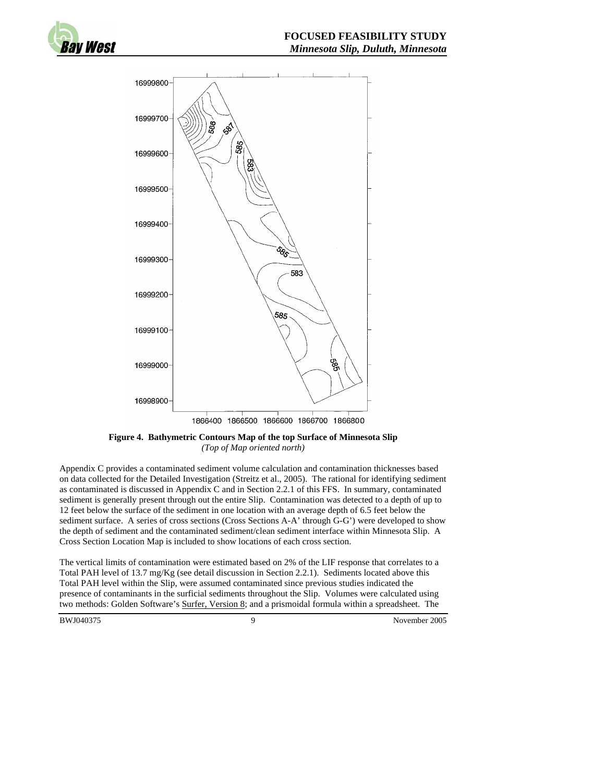





Appendix C provides a contaminated sediment volume calculation and contamination thicknesses based on data collected for the Detailed Investigation (Streitz et al., 2005). The rational for identifying sediment as contaminated is discussed in Appendix C and in Section 2.2.1 of this FFS. In summary, contaminated sediment is generally present through out the entire Slip. Contamination was detected to a depth of up to 12 feet below the surface of the sediment in one location with an average depth of 6.5 feet below the sediment surface. A series of cross sections (Cross Sections A-A' through G-G') were developed to show the depth of sediment and the contaminated sediment/clean sediment interface within Minnesota Slip. A Cross Section Location Map is included to show locations of each cross section.

The vertical limits of contamination were estimated based on 2% of the LIF response that correlates to a Total PAH level of 13.7 mg/Kg (see detail discussion in Section 2.2.1). Sediments located above this Total PAH level within the Slip, were assumed contaminated since previous studies indicated the presence of contaminants in the surficial sediments throughout the Slip. Volumes were calculated using two methods: Golden Software's Surfer, Version 8; and a prismoidal formula within a spreadsheet. The

BWJ040375 9 November 2005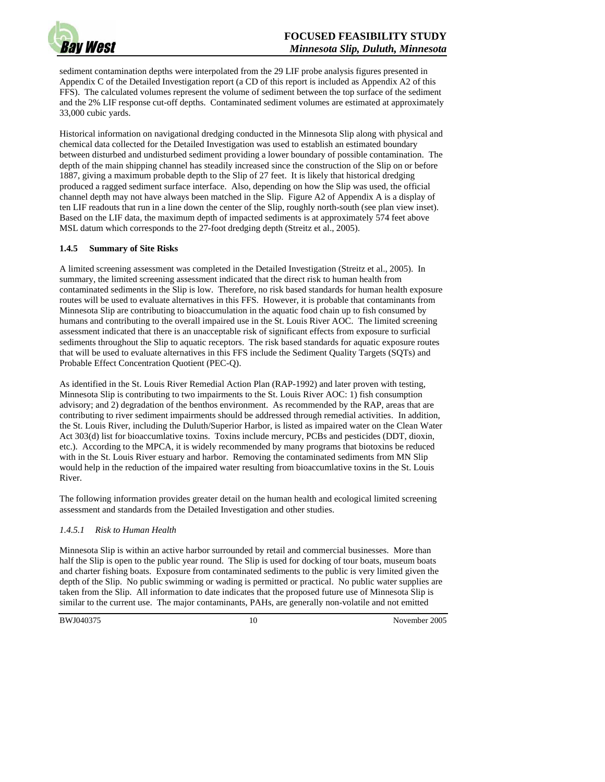<span id="page-16-0"></span>

sediment contamination depths were interpolated from the 29 LIF probe analysis figures presented in Appendix C of the Detailed Investigation report (a CD of this report is included as Appendix A2 of this FFS). The calculated volumes represent the volume of sediment between the top surface of the sediment and the 2% LIF response cut-off depths. Contaminated sediment volumes are estimated at approximately 33,000 cubic yards.

Historical information on navigational dredging conducted in the Minnesota Slip along with physical and chemical data collected for the Detailed Investigation was used to establish an estimated boundary between disturbed and undisturbed sediment providing a lower boundary of possible contamination. The depth of the main shipping channel has steadily increased since the construction of the Slip on or before 1887, giving a maximum probable depth to the Slip of 27 feet. It is likely that historical dredging produced a ragged sediment surface interface. Also, depending on how the Slip was used, the official channel depth may not have always been matched in the Slip. Figure A2 of Appendix A is a display of ten LIF readouts that run in a line down the center of the Slip, roughly north-south (see plan view inset). Based on the LIF data, the maximum depth of impacted sediments is at approximately 574 feet above MSL datum which corresponds to the 27-foot dredging depth (Streitz et al., 2005).

#### **1.4.5 Summary of Site Risks**

A limited screening assessment was completed in the Detailed Investigation (Streitz et al., 2005). In summary, the limited screening assessment indicated that the direct risk to human health from contaminated sediments in the Slip is low. Therefore, no risk based standards for human health exposure routes will be used to evaluate alternatives in this FFS. However, it is probable that contaminants from Minnesota Slip are contributing to bioaccumulation in the aquatic food chain up to fish consumed by humans and contributing to the overall impaired use in the St. Louis River AOC. The limited screening assessment indicated that there is an unacceptable risk of significant effects from exposure to surficial sediments throughout the Slip to aquatic receptors. The risk based standards for aquatic exposure routes that will be used to evaluate alternatives in this FFS include the Sediment Quality Targets (SQTs) and Probable Effect Concentration Quotient (PEC-Q).

As identified in the St. Louis River Remedial Action Plan (RAP-1992) and later proven with testing, Minnesota Slip is contributing to two impairments to the St. Louis River AOC: 1) fish consumption advisory; and 2) degradation of the benthos environment. As recommended by the RAP, areas that are contributing to river sediment impairments should be addressed through remedial activities. In addition, the St. Louis River, including the Duluth/Superior Harbor, is listed as impaired water on the Clean Water Act 303(d) list for bioaccumlative toxins. Toxins include mercury, PCBs and pesticides (DDT, dioxin, etc.). According to the MPCA, it is widely recommended by many programs that biotoxins be reduced with in the St. Louis River estuary and harbor. Removing the contaminated sediments from MN Slip would help in the reduction of the impaired water resulting from bioaccumlative toxins in the St. Louis River.

The following information provides greater detail on the human health and ecological limited screening assessment and standards from the Detailed Investigation and other studies.

#### *1.4.5.1 Risk to Human Health*

Minnesota Slip is within an active harbor surrounded by retail and commercial businesses. More than half the Slip is open to the public year round. The Slip is used for docking of tour boats, museum boats and charter fishing boats. Exposure from contaminated sediments to the public is very limited given the depth of the Slip. No public swimming or wading is permitted or practical. No public water supplies are taken from the Slip. All information to date indicates that the proposed future use of Minnesota Slip is similar to the current use. The major contaminants, PAHs, are generally non-volatile and not emitted

BWJ040375 10 November 2005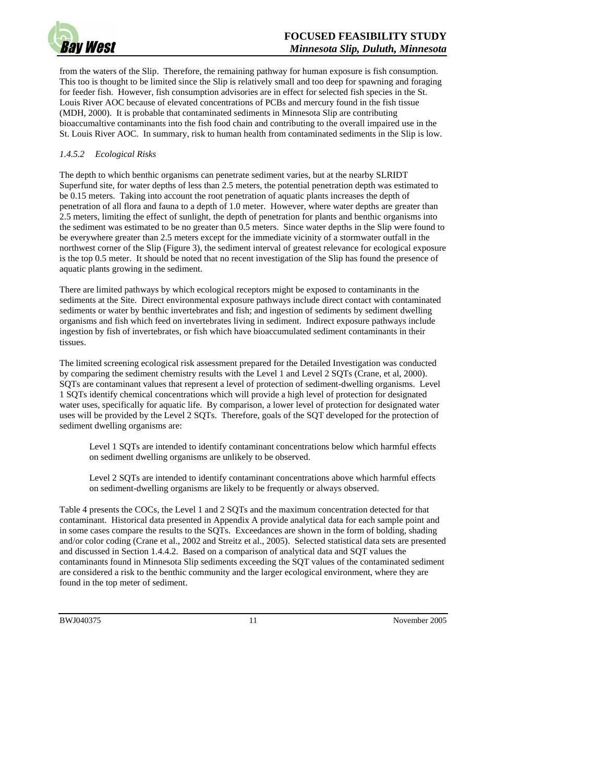<span id="page-17-0"></span>

from the waters of the Slip. Therefore, the remaining pathway for human exposure is fish consumption. This too is thought to be limited since the Slip is relatively small and too deep for spawning and foraging for feeder fish. However, fish consumption advisories are in effect for selected fish species in the St. Louis River AOC because of elevated concentrations of PCBs and mercury found in the fish tissue (MDH, 2000). It is probable that contaminated sediments in Minnesota Slip are contributing bioaccumaltive contaminants into the fish food chain and contributing to the overall impaired use in the St. Louis River AOC. In summary, risk to human health from contaminated sediments in the Slip is low.

## *1.4.5.2 Ecological Risks*

The depth to which benthic organisms can penetrate sediment varies, but at the nearby SLRIDT Superfund site, for water depths of less than 2.5 meters, the potential penetration depth was estimated to be 0.15 meters. Taking into account the root penetration of aquatic plants increases the depth of penetration of all flora and fauna to a depth of 1.0 meter. However, where water depths are greater than 2.5 meters, limiting the effect of sunlight, the depth of penetration for plants and benthic organisms into the sediment was estimated to be no greater than 0.5 meters. Since water depths in the Slip were found to be everywhere greater than 2.5 meters except for the immediate vicinity of a stormwater outfall in the northwest corner of the Slip (Figure 3), the sediment interval of greatest relevance for ecological exposure is the top 0.5 meter. It should be noted that no recent investigation of the Slip has found the presence of aquatic plants growing in the sediment.

There are limited pathways by which ecological receptors might be exposed to contaminants in the sediments at the Site. Direct environmental exposure pathways include direct contact with contaminated sediments or water by benthic invertebrates and fish; and ingestion of sediments by sediment dwelling organisms and fish which feed on invertebrates living in sediment. Indirect exposure pathways include ingestion by fish of invertebrates, or fish which have bioaccumulated sediment contaminants in their tissues.

The limited screening ecological risk assessment prepared for the Detailed Investigation was conducted by comparing the sediment chemistry results with the Level 1 and Level 2 SQTs (Crane, et al, 2000). SQTs are contaminant values that represent a level of protection of sediment-dwelling organisms. Level 1 SQTs identify chemical concentrations which will provide a high level of protection for designated water uses, specifically for aquatic life. By comparison, a lower level of protection for designated water uses will be provided by the Level 2 SQTs. Therefore, goals of the SQT developed for the protection of sediment dwelling organisms are:

Level 1 SQTs are intended to identify contaminant concentrations below which harmful effects on sediment dwelling organisms are unlikely to be observed.

Level 2 SQTs are intended to identify contaminant concentrations above which harmful effects on sediment-dwelling organisms are likely to be frequently or always observed.

Table 4 presents the COCs, the Level 1 and 2 SQTs and the maximum concentration detected for that contaminant. Historical data presented in Appendix A provide analytical data for each sample point and in some cases compare the results to the SQTs. Exceedances are shown in the form of bolding, shading and/or color coding (Crane et al., 2002 and Streitz et al., 2005). Selected statistical data sets are presented and discussed in Section 1.4.4.2. Based on a comparison of analytical data and SQT values the contaminants found in Minnesota Slip sediments exceeding the SQT values of the contaminated sediment are considered a risk to the benthic community and the larger ecological environment, where they are found in the top meter of sediment.

BWJ040375 11 November 2005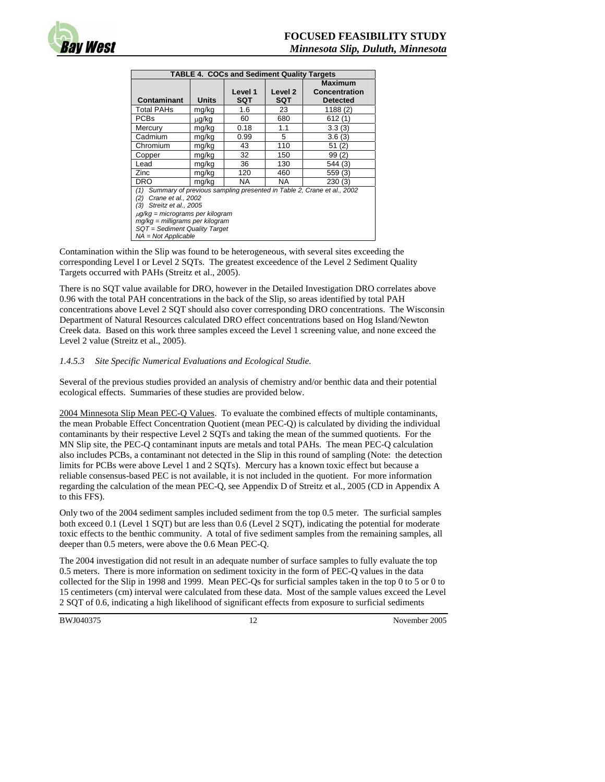<span id="page-18-0"></span>

| <b>TABLE 4. COCs and Sediment Quality Targets</b>                                                                                                                                                    |       |                       |                           |                                                                       |  |  |  |
|------------------------------------------------------------------------------------------------------------------------------------------------------------------------------------------------------|-------|-----------------------|---------------------------|-----------------------------------------------------------------------|--|--|--|
| Contaminant                                                                                                                                                                                          | Units | Level 1<br><b>SQT</b> | Level <sub>2</sub><br>SQT | <b>Maximum</b><br><b>Concentration</b><br><b>Detected</b>             |  |  |  |
| <b>Total PAHs</b>                                                                                                                                                                                    | mg/kg | 1.6                   | 23                        | 1188 (2)                                                              |  |  |  |
| <b>PCBs</b>                                                                                                                                                                                          | µg/kg | 60                    | 680                       | 612(1)                                                                |  |  |  |
| Mercury                                                                                                                                                                                              | mg/kg | 0.18                  | 1.1                       | 3.3(3)                                                                |  |  |  |
| Cadmium                                                                                                                                                                                              | mg/kg | 0.99                  | 5                         | 3.6(3)                                                                |  |  |  |
| Chromium                                                                                                                                                                                             | mg/kg | 43                    | 110                       | 51 (2)                                                                |  |  |  |
| Copper                                                                                                                                                                                               | mg/kg | 32                    | 150                       | 99(2)                                                                 |  |  |  |
| Lead                                                                                                                                                                                                 | mg/kg | 36                    | 130                       | 544 (3)                                                               |  |  |  |
| Zinc                                                                                                                                                                                                 | mg/kg | 120                   | 460                       | 559(3)                                                                |  |  |  |
| <b>DRO</b>                                                                                                                                                                                           | mg/kg | NA                    | NA                        | 230(3)                                                                |  |  |  |
| (1)<br>Crane et al., 2002<br>(2)<br>Streitz et al., 2005<br>(3)<br>$\mu$ g/kg = micrograms per kilogram<br>$mq/kg = milligrams per kilogram$<br>SQT = Sediment Quality Target<br>NA = Not Applicable |       |                       |                           | Summary of previous sampling presented in Table 2, Crane et al., 2002 |  |  |  |

Contamination within the Slip was found to be heterogeneous, with several sites exceeding the corresponding Level I or Level 2 SQTs. The greatest exceedence of the Level 2 Sediment Quality Targets occurred with PAHs (Streitz et al., 2005).

There is no SQT value available for DRO, however in the Detailed Investigation DRO correlates above 0.96 with the total PAH concentrations in the back of the Slip, so areas identified by total PAH concentrations above Level 2 SQT should also cover corresponding DRO concentrations. The Wisconsin Department of Natural Resources calculated DRO effect concentrations based on Hog Island/Newton Creek data. Based on this work three samples exceed the Level 1 screening value, and none exceed the Level 2 value (Streitz et al., 2005).

#### *1.4.5.3 Site Specific Numerical Evaluations and Ecological Studie.*

Several of the previous studies provided an analysis of chemistry and/or benthic data and their potential ecological effects. Summaries of these studies are provided below.

2004 Minnesota Slip Mean PEC-Q Values. To evaluate the combined effects of multiple contaminants, the mean Probable Effect Concentration Quotient (mean PEC-Q) is calculated by dividing the individual contaminants by their respective Level 2 SQTs and taking the mean of the summed quotients. For the MN Slip site, the PEC-Q contaminant inputs are metals and total PAHs. The mean PEC-Q calculation also includes PCBs, a contaminant not detected in the Slip in this round of sampling (Note: the detection limits for PCBs were above Level 1 and 2 SQTs). Mercury has a known toxic effect but because a reliable consensus-based PEC is not available, it is not included in the quotient. For more information regarding the calculation of the mean PEC-Q, see Appendix D of Streitz et al., 2005 (CD in Appendix A to this FFS).

Only two of the 2004 sediment samples included sediment from the top 0.5 meter. The surficial samples both exceed 0.1 (Level 1 SQT) but are less than 0.6 (Level 2 SQT), indicating the potential for moderate toxic effects to the benthic community. A total of five sediment samples from the remaining samples, all deeper than 0.5 meters, were above the 0.6 Mean PEC-Q.

The 2004 investigation did not result in an adequate number of surface samples to fully evaluate the top 0.5 meters. There is more information on sediment toxicity in the form of PEC-Q values in the data collected for the Slip in 1998 and 1999. Mean PEC-Qs for surficial samples taken in the top 0 to 5 or 0 to 15 centimeters (cm) interval were calculated from these data. Most of the sample values exceed the Level 2 SQT of 0.6, indicating a high likelihood of significant effects from exposure to surficial sediments

BWJ040375 12 November 2005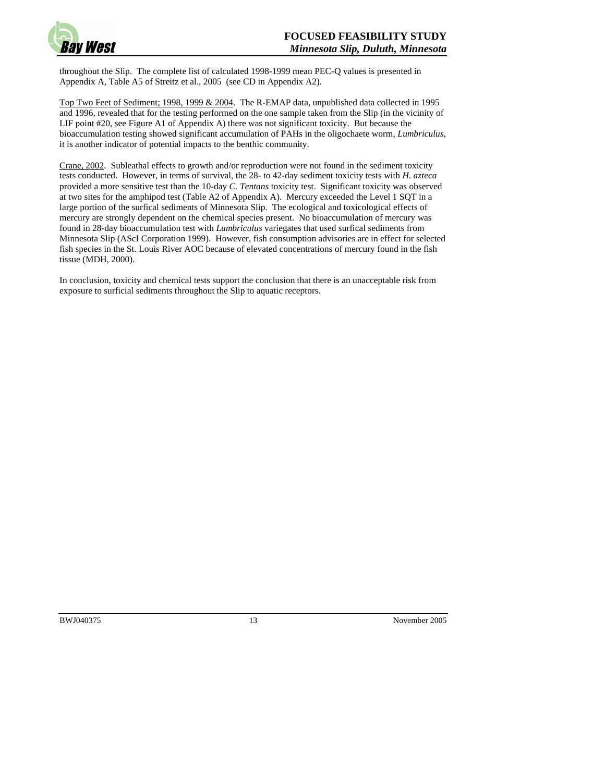

throughout the Slip. The complete list of calculated 1998-1999 mean PEC-Q values is presented in Appendix A, Table A5 of Streitz et al., 2005 (see CD in Appendix A2).

Top Two Feet of Sediment; 1998, 1999 & 2004. The R-EMAP data, unpublished data collected in 1995 and 1996, revealed that for the testing performed on the one sample taken from the Slip (in the vicinity of LIF point #20, see Figure A1 of Appendix A) there was not significant toxicity. But because the bioaccumulation testing showed significant accumulation of PAHs in the oligochaete worm, *Lumbriculus*, it is another indicator of potential impacts to the benthic community.

Crane, 2002. Subleathal effects to growth and/or reproduction were not found in the sediment toxicity tests conducted. However, in terms of survival, the 28- to 42-day sediment toxicity tests with *H. azteca* provided a more sensitive test than the 10-day *C. Tentans* toxicity test. Significant toxicity was observed at two sites for the amphipod test (Table A2 of Appendix A). Mercury exceeded the Level 1 SQT in a large portion of the surfical sediments of Minnesota Slip. The ecological and toxicological effects of mercury are strongly dependent on the chemical species present. No bioaccumulation of mercury was found in 28-day bioaccumulation test with *Lumbriculus* variegates that used surfical sediments from Minnesota Slip (AScI Corporation 1999). However, fish consumption advisories are in effect for selected fish species in the St. Louis River AOC because of elevated concentrations of mercury found in the fish tissue (MDH, 2000).

In conclusion, toxicity and chemical tests support the conclusion that there is an unacceptable risk from exposure to surficial sediments throughout the Slip to aquatic receptors.

BWJ040375 13 November 2005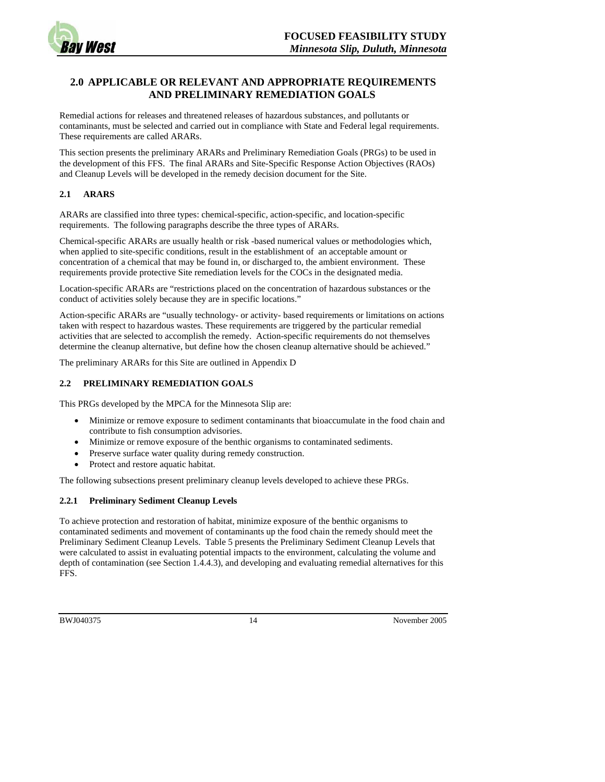<span id="page-20-0"></span>

# **2.0 APPLICABLE OR RELEVANT AND APPROPRIATE REQUIREMENTS AND PRELIMINARY REMEDIATION GOALS**

Remedial actions for releases and threatened releases of hazardous substances, and pollutants or contaminants, must be selected and carried out in compliance with State and Federal legal requirements. These requirements are called ARARs.

This section presents the preliminary ARARs and Preliminary Remediation Goals (PRGs) to be used in the development of this FFS. The final ARARs and Site-Specific Response Action Objectives (RAOs) and Cleanup Levels will be developed in the remedy decision document for the Site.

## **2.1 ARARS**

ARARs are classified into three types: chemical-specific, action-specific, and location-specific requirements. The following paragraphs describe the three types of ARARs.

Chemical-specific ARARs are usually health or risk -based numerical values or methodologies which, when applied to site-specific conditions, result in the establishment of an acceptable amount or concentration of a chemical that may be found in, or discharged to, the ambient environment. These requirements provide protective Site remediation levels for the COCs in the designated media.

Location-specific ARARs are "restrictions placed on the concentration of hazardous substances or the conduct of activities solely because they are in specific locations."

Action-specific ARARs are "usually technology- or activity- based requirements or limitations on actions taken with respect to hazardous wastes. These requirements are triggered by the particular remedial activities that are selected to accomplish the remedy. Action-specific requirements do not themselves determine the cleanup alternative, but define how the chosen cleanup alternative should be achieved."

The preliminary ARARs for this Site are outlined in Appendix D

## **2.2 PRELIMINARY REMEDIATION GOALS**

This PRGs developed by the MPCA for the Minnesota Slip are:

- Minimize or remove exposure to sediment contaminants that bioaccumulate in the food chain and contribute to fish consumption advisories.
- Minimize or remove exposure of the benthic organisms to contaminated sediments.
- Preserve surface water quality during remedy construction.
- Protect and restore aquatic habitat.

The following subsections present preliminary cleanup levels developed to achieve these PRGs.

#### **2.2.1 Preliminary Sediment Cleanup Levels**

To achieve protection and restoration of habitat, minimize exposure of the benthic organisms to contaminated sediments and movement of contaminants up the food chain the remedy should meet the Preliminary Sediment Cleanup Levels. Table 5 presents the Preliminary Sediment Cleanup Levels that were calculated to assist in evaluating potential impacts to the environment, calculating the volume and depth of contamination (see Section 1.4.4.3), and developing and evaluating remedial alternatives for this FFS.

BWJ040375 14 November 2005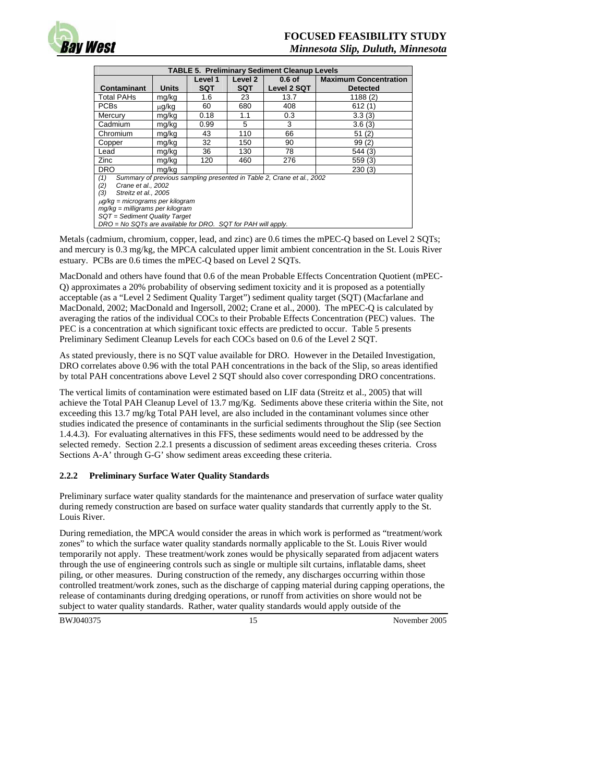<span id="page-21-0"></span>

| <b>TABLE 5. Preliminary Sediment Cleanup Levels</b>                                                                                                                                                                                                                                                                      |       |            |                    |             |                              |  |  |  |
|--------------------------------------------------------------------------------------------------------------------------------------------------------------------------------------------------------------------------------------------------------------------------------------------------------------------------|-------|------------|--------------------|-------------|------------------------------|--|--|--|
|                                                                                                                                                                                                                                                                                                                          |       | Level 1    | Level <sub>2</sub> | $0.6$ of    | <b>Maximum Concentration</b> |  |  |  |
| <b>Contaminant</b>                                                                                                                                                                                                                                                                                                       | Units | <b>SQT</b> | SQT                | Level 2 SQT | <b>Detected</b>              |  |  |  |
| Total PAHs                                                                                                                                                                                                                                                                                                               | mg/kg | 1.6        | 23                 | 13.7        | 1188(2)                      |  |  |  |
| <b>PCBs</b>                                                                                                                                                                                                                                                                                                              | µg/kg | 60         | 680                | 408         | 612(1)                       |  |  |  |
| Mercury                                                                                                                                                                                                                                                                                                                  | mg/kg | 0.18       | 1.1                | 0.3         | 3.3(3)                       |  |  |  |
| Cadmium                                                                                                                                                                                                                                                                                                                  | mg/kg | 0.99       | 5                  | 3           | 3.6(3)                       |  |  |  |
| Chromium                                                                                                                                                                                                                                                                                                                 | mg/kg | 43         | 110                | 66          | 51(2)                        |  |  |  |
| Copper                                                                                                                                                                                                                                                                                                                   | mg/kg | 32         | 150                | 90          | 99(2)                        |  |  |  |
| Lead                                                                                                                                                                                                                                                                                                                     | mg/kg | 36         | 130                | 78          | 544 (3)                      |  |  |  |
| Zinc                                                                                                                                                                                                                                                                                                                     | mg/kg | 120        | 460                | 276         | 559 (3)                      |  |  |  |
| <b>DRO</b>                                                                                                                                                                                                                                                                                                               | mg/kg |            |                    |             | 230(3)                       |  |  |  |
| Summary of previous sampling presented in Table 2, Crane et al., 2002<br>(1)<br>Crane et al., 2002<br>(2)<br>(3)<br>Streitz et al., 2005<br>$\mu$ g/kg = micrograms per kilogram<br>$mg/kg =$ milligrams per kilogram<br>$SQT = Sediment$ Quality Target<br>DRO = No SQTs are available for DRO. SQT for PAH will apply. |       |            |                    |             |                              |  |  |  |

Metals (cadmium, chromium, copper, lead, and zinc) are 0.6 times the mPEC-Q based on Level 2 SQTs; and mercury is 0.3 mg/kg, the MPCA calculated upper limit ambient concentration in the St. Louis River estuary. PCBs are 0.6 times the mPEC-Q based on Level 2 SQTs.

MacDonald and others have found that 0.6 of the mean Probable Effects Concentration Quotient (mPEC-Q) approximates a 20% probability of observing sediment toxicity and it is proposed as a potentially acceptable (as a "Level 2 Sediment Quality Target") sediment quality target (SQT) (Macfarlane and MacDonald, 2002; MacDonald and Ingersoll, 2002; Crane et al., 2000). The mPEC-Q is calculated by averaging the ratios of the individual COCs to their Probable Effects Concentration (PEC) values. The PEC is a concentration at which significant toxic effects are predicted to occur. Table 5 presents Preliminary Sediment Cleanup Levels for each COCs based on 0.6 of the Level 2 SQT.

As stated previously, there is no SQT value available for DRO. However in the Detailed Investigation, DRO correlates above 0.96 with the total PAH concentrations in the back of the Slip, so areas identified by total PAH concentrations above Level 2 SQT should also cover corresponding DRO concentrations.

The vertical limits of contamination were estimated based on LIF data (Streitz et al., 2005) that will achieve the Total PAH Cleanup Level of 13.7 mg/Kg. Sediments above these criteria within the Site, not exceeding this 13.7 mg/kg Total PAH level, are also included in the contaminant volumes since other studies indicated the presence of contaminants in the surficial sediments throughout the Slip (see Section 1.4.4.3). For evaluating alternatives in this FFS, these sediments would need to be addressed by the selected remedy. Section 2.2.1 presents a discussion of sediment areas exceeding theses criteria. Cross Sections A-A' through G-G' show sediment areas exceeding these criteria.

#### **2.2.2 Preliminary Surface Water Quality Standards**

Preliminary surface water quality standards for the maintenance and preservation of surface water quality during remedy construction are based on surface water quality standards that currently apply to the St. Louis River.

During remediation, the MPCA would consider the areas in which work is performed as "treatment/work zones" to which the surface water quality standards normally applicable to the St. Louis River would temporarily not apply. These treatment/work zones would be physically separated from adjacent waters through the use of engineering controls such as single or multiple silt curtains, inflatable dams, sheet piling, or other measures. During construction of the remedy, any discharges occurring within those controlled treatment/work zones, such as the discharge of capping material during capping operations, the release of contaminants during dredging operations, or runoff from activities on shore would not be subject to water quality standards. Rather, water quality standards would apply outside of the

BWJ040375 15 November 2005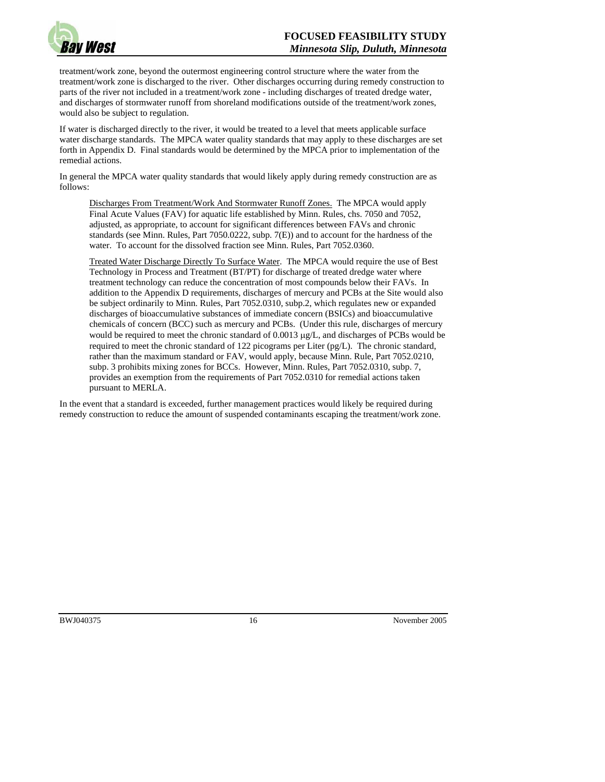

treatment/work zone, beyond the outermost engineering control structure where the water from the treatment/work zone is discharged to the river. Other discharges occurring during remedy construction to parts of the river not included in a treatment/work zone - including discharges of treated dredge water, and discharges of stormwater runoff from shoreland modifications outside of the treatment/work zones, would also be subject to regulation.

If water is discharged directly to the river, it would be treated to a level that meets applicable surface water discharge standards. The MPCA water quality standards that may apply to these discharges are set forth in Appendix D. Final standards would be determined by the MPCA prior to implementation of the remedial actions.

In general the MPCA water quality standards that would likely apply during remedy construction are as follows:

Discharges From Treatment/Work And Stormwater Runoff Zones. The MPCA would apply Final Acute Values (FAV) for aquatic life established by Minn. Rules, chs. 7050 and 7052, adjusted, as appropriate, to account for significant differences between FAVs and chronic standards (see Minn. Rules, Part 7050.0222, subp. 7(E)) and to account for the hardness of the water. To account for the dissolved fraction see Minn. Rules, Part 7052.0360.

Treated Water Discharge Directly To Surface Water. The MPCA would require the use of Best Technology in Process and Treatment (BT/PT) for discharge of treated dredge water where treatment technology can reduce the concentration of most compounds below their FAVs. In addition to the Appendix D requirements, discharges of mercury and PCBs at the Site would also be subject ordinarily to Minn. Rules, Part 7052.0310, subp.2, which regulates new or expanded discharges of bioaccumulative substances of immediate concern (BSICs) and bioaccumulative chemicals of concern (BCC) such as mercury and PCBs. (Under this rule, discharges of mercury would be required to meet the chronic standard of 0.0013 μg/L, and discharges of PCBs would be required to meet the chronic standard of 122 picograms per Liter (pg/L). The chronic standard, rather than the maximum standard or FAV, would apply, because Minn. Rule, Part 7052.0210, subp. 3 prohibits mixing zones for BCCs. However, Minn. Rules, Part 7052.0310, subp. 7, provides an exemption from the requirements of Part 7052.0310 for remedial actions taken pursuant to MERLA.

In the event that a standard is exceeded, further management practices would likely be required during remedy construction to reduce the amount of suspended contaminants escaping the treatment/work zone.

BWJ040375 16 November 2005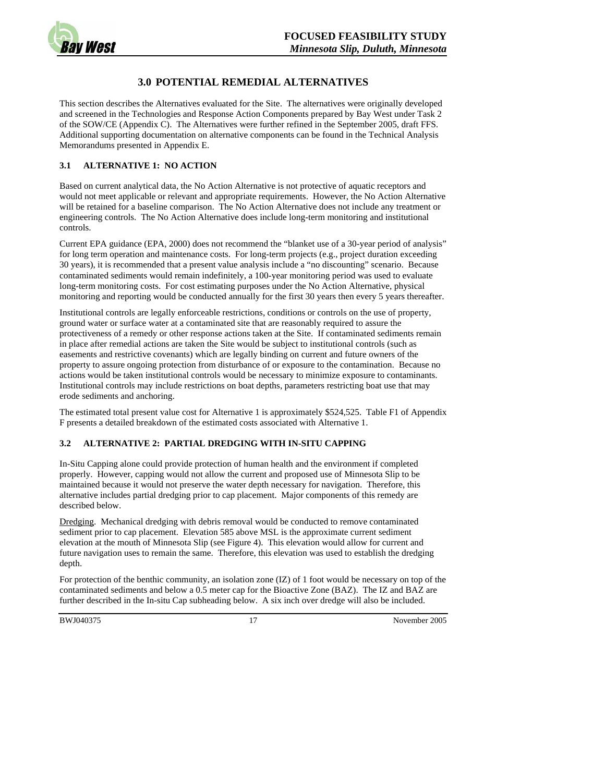<span id="page-23-0"></span>

# **3.0 POTENTIAL REMEDIAL ALTERNATIVES**

This section describes the Alternatives evaluated for the Site. The alternatives were originally developed and screened in the Technologies and Response Action Components prepared by Bay West under Task 2 of the SOW/CE (Appendix C). The Alternatives were further refined in the September 2005, draft FFS. Additional supporting documentation on alternative components can be found in the Technical Analysis Memorandums presented in Appendix E.

## **3.1 ALTERNATIVE 1: NO ACTION**

Based on current analytical data, the No Action Alternative is not protective of aquatic receptors and would not meet applicable or relevant and appropriate requirements. However, the No Action Alternative will be retained for a baseline comparison. The No Action Alternative does not include any treatment or engineering controls. The No Action Alternative does include long-term monitoring and institutional controls.

Current EPA guidance (EPA, 2000) does not recommend the "blanket use of a 30-year period of analysis" for long term operation and maintenance costs. For long-term projects (e.g., project duration exceeding 30 years), it is recommended that a present value analysis include a "no discounting" scenario. Because contaminated sediments would remain indefinitely, a 100-year monitoring period was used to evaluate long-term monitoring costs. For cost estimating purposes under the No Action Alternative, physical monitoring and reporting would be conducted annually for the first 30 years then every 5 years thereafter.

Institutional controls are legally enforceable restrictions, conditions or controls on the use of property, ground water or surface water at a contaminated site that are reasonably required to assure the protectiveness of a remedy or other response actions taken at the Site. If contaminated sediments remain in place after remedial actions are taken the Site would be subject to institutional controls (such as easements and restrictive covenants) which are legally binding on current and future owners of the property to assure ongoing protection from disturbance of or exposure to the contamination. Because no actions would be taken institutional controls would be necessary to minimize exposure to contaminants. Institutional controls may include restrictions on boat depths, parameters restricting boat use that may erode sediments and anchoring.

The estimated total present value cost for Alternative 1 is approximately \$524,525. Table F1 of Appendix F presents a detailed breakdown of the estimated costs associated with Alternative 1.

#### **3.2 ALTERNATIVE 2: PARTIAL DREDGING WITH IN-SITU CAPPING**

In-Situ Capping alone could provide protection of human health and the environment if completed properly. However, capping would not allow the current and proposed use of Minnesota Slip to be maintained because it would not preserve the water depth necessary for navigation. Therefore, this alternative includes partial dredging prior to cap placement. Major components of this remedy are described below.

Dredging. Mechanical dredging with debris removal would be conducted to remove contaminated sediment prior to cap placement. Elevation 585 above MSL is the approximate current sediment elevation at the mouth of Minnesota Slip (see Figure 4). This elevation would allow for current and future navigation uses to remain the same. Therefore, this elevation was used to establish the dredging depth.

For protection of the benthic community, an isolation zone (IZ) of 1 foot would be necessary on top of the contaminated sediments and below a 0.5 meter cap for the Bioactive Zone (BAZ). The IZ and BAZ are further described in the In-situ Cap subheading below. A six inch over dredge will also be included.

BWJ040375 17 November 2005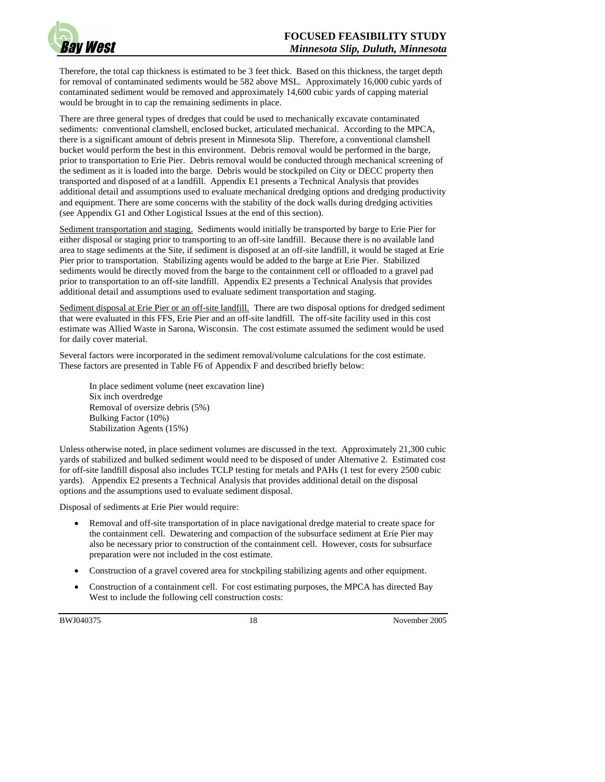

Therefore, the total cap thickness is estimated to be 3 feet thick. Based on this thickness, the target depth for removal of contaminated sediments would be 582 above MSL. Approximately 16,000 cubic yards of contaminated sediment would be removed and approximately 14,600 cubic yards of capping material would be brought in to cap the remaining sediments in place.

There are three general types of dredges that could be used to mechanically excavate contaminated sediments: conventional clamshell, enclosed bucket, articulated mechanical. According to the MPCA, there is a significant amount of debris present in Minnesota Slip. Therefore, a conventional clamshell bucket would perform the best in this environment. Debris removal would be performed in the barge, prior to transportation to Erie Pier. Debris removal would be conducted through mechanical screening of the sediment as it is loaded into the barge. Debris would be stockpiled on City or DECC property then transported and disposed of at a landfill. Appendix E1 presents a Technical Analysis that provides additional detail and assumptions used to evaluate mechanical dredging options and dredging productivity and equipment. There are some concerns with the stability of the dock walls during dredging activities (see Appendix G1 and Other Logistical Issues at the end of this section).

Sediment transportation and staging. Sediments would initially be transported by barge to Erie Pier for either disposal or staging prior to transporting to an off-site landfill. Because there is no available land area to stage sediments at the Site, if sediment is disposed at an off-site landfill, it would be staged at Erie Pier prior to transportation. Stabilizing agents would be added to the barge at Erie Pier. Stabilized sediments would be directly moved from the barge to the containment cell or offloaded to a gravel pad prior to transportation to an off-site landfill. Appendix E2 presents a Technical Analysis that provides additional detail and assumptions used to evaluate sediment transportation and staging.

Sediment disposal at Erie Pier or an off-site landfill. There are two disposal options for dredged sediment that were evaluated in this FFS, Erie Pier and an off-site landfill. The off-site facility used in this cost estimate was Allied Waste in Sarona, Wisconsin. The cost estimate assumed the sediment would be used for daily cover material.

Several factors were incorporated in the sediment removal/volume calculations for the cost estimate. These factors are presented in Table F6 of Appendix F and described briefly below:

In place sediment volume (neet excavation line) Six inch overdredge Removal of oversize debris (5%) Bulking Factor (10%) Stabilization Agents (15%)

Unless otherwise noted, in place sediment volumes are discussed in the text. Approximately 21,300 cubic yards of stabilized and bulked sediment would need to be disposed of under Alternative 2. Estimated cost for off-site landfill disposal also includes TCLP testing for metals and PAHs (1 test for every 2500 cubic yards). Appendix E2 presents a Technical Analysis that provides additional detail on the disposal options and the assumptions used to evaluate sediment disposal.

Disposal of sediments at Erie Pier would require:

- Removal and off-site transportation of in place navigational dredge material to create space for the containment cell. Dewatering and compaction of the subsurface sediment at Erie Pier may also be necessary prior to construction of the containment cell. However, costs for subsurface preparation were not included in the cost estimate.
- Construction of a gravel covered area for stockpiling stabilizing agents and other equipment.
- Construction of a containment cell. For cost estimating purposes, the MPCA has directed Bay West to include the following cell construction costs:

BWJ040375 18 November 2005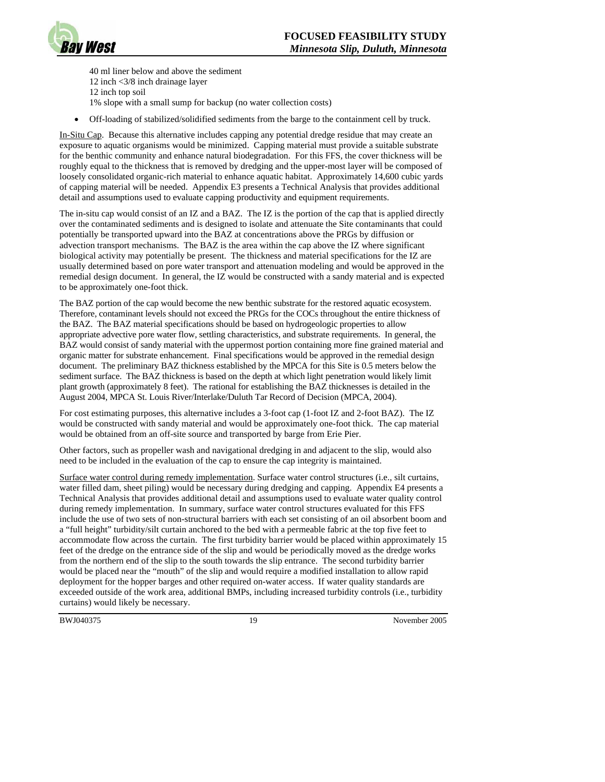

40 ml liner below and above the sediment 12 inch <3/8 inch drainage layer 12 inch top soil 1% slope with a small sump for backup (no water collection costs)

• Off-loading of stabilized/solidified sediments from the barge to the containment cell by truck.

In-Situ Cap. Because this alternative includes capping any potential dredge residue that may create an exposure to aquatic organisms would be minimized. Capping material must provide a suitable substrate for the benthic community and enhance natural biodegradation. For this FFS, the cover thickness will be roughly equal to the thickness that is removed by dredging and the upper-most layer will be composed of loosely consolidated organic-rich material to enhance aquatic habitat. Approximately 14,600 cubic yards of capping material will be needed. Appendix E3 presents a Technical Analysis that provides additional detail and assumptions used to evaluate capping productivity and equipment requirements.

The in-situ cap would consist of an IZ and a BAZ. The IZ is the portion of the cap that is applied directly over the contaminated sediments and is designed to isolate and attenuate the Site contaminants that could potentially be transported upward into the BAZ at concentrations above the PRGs by diffusion or advection transport mechanisms. The BAZ is the area within the cap above the IZ where significant biological activity may potentially be present. The thickness and material specifications for the IZ are usually determined based on pore water transport and attenuation modeling and would be approved in the remedial design document. In general, the IZ would be constructed with a sandy material and is expected to be approximately one-foot thick.

The BAZ portion of the cap would become the new benthic substrate for the restored aquatic ecosystem. Therefore, contaminant levels should not exceed the PRGs for the COCs throughout the entire thickness of the BAZ. The BAZ material specifications should be based on hydrogeologic properties to allow appropriate advective pore water flow, settling characteristics, and substrate requirements. In general, the BAZ would consist of sandy material with the uppermost portion containing more fine grained material and organic matter for substrate enhancement. Final specifications would be approved in the remedial design document. The preliminary BAZ thickness established by the MPCA for this Site is 0.5 meters below the sediment surface. The BAZ thickness is based on the depth at which light penetration would likely limit plant growth (approximately 8 feet). The rational for establishing the BAZ thicknesses is detailed in the August 2004, MPCA St. Louis River/Interlake/Duluth Tar Record of Decision (MPCA, 2004).

For cost estimating purposes, this alternative includes a 3-foot cap (1-foot IZ and 2-foot BAZ). The IZ would be constructed with sandy material and would be approximately one-foot thick. The cap material would be obtained from an off-site source and transported by barge from Erie Pier.

Other factors, such as propeller wash and navigational dredging in and adjacent to the slip, would also need to be included in the evaluation of the cap to ensure the cap integrity is maintained.

Surface water control during remedy implementation. Surface water control structures (i.e., silt curtains, water filled dam, sheet piling) would be necessary during dredging and capping. Appendix E4 presents a Technical Analysis that provides additional detail and assumptions used to evaluate water quality control during remedy implementation. In summary, surface water control structures evaluated for this FFS include the use of two sets of non-structural barriers with each set consisting of an oil absorbent boom and a "full height" turbidity/silt curtain anchored to the bed with a permeable fabric at the top five feet to accommodate flow across the curtain. The first turbidity barrier would be placed within approximately 15 feet of the dredge on the entrance side of the slip and would be periodically moved as the dredge works from the northern end of the slip to the south towards the slip entrance. The second turbidity barrier would be placed near the "mouth" of the slip and would require a modified installation to allow rapid deployment for the hopper barges and other required on-water access. If water quality standards are exceeded outside of the work area, additional BMPs, including increased turbidity controls (i.e., turbidity curtains) would likely be necessary.

BWJ040375 19 November 2005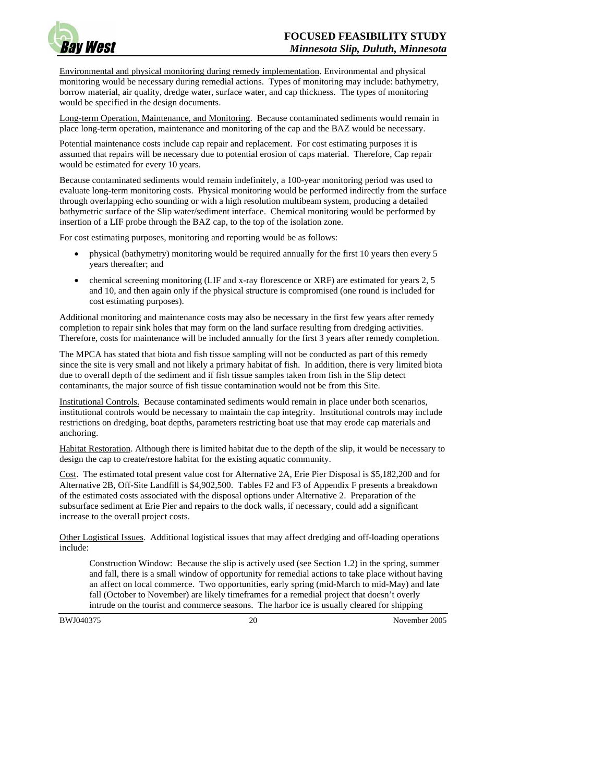

Environmental and physical monitoring during remedy implementation. Environmental and physical monitoring would be necessary during remedial actions. Types of monitoring may include: bathymetry, borrow material, air quality, dredge water, surface water, and cap thickness. The types of monitoring would be specified in the design documents.

Long-term Operation, Maintenance, and Monitoring. Because contaminated sediments would remain in place long-term operation, maintenance and monitoring of the cap and the BAZ would be necessary.

Potential maintenance costs include cap repair and replacement. For cost estimating purposes it is assumed that repairs will be necessary due to potential erosion of caps material. Therefore, Cap repair would be estimated for every 10 years.

Because contaminated sediments would remain indefinitely, a 100-year monitoring period was used to evaluate long-term monitoring costs. Physical monitoring would be performed indirectly from the surface through overlapping echo sounding or with a high resolution multibeam system, producing a detailed bathymetric surface of the Slip water/sediment interface. Chemical monitoring would be performed by insertion of a LIF probe through the BAZ cap, to the top of the isolation zone.

For cost estimating purposes, monitoring and reporting would be as follows:

- physical (bathymetry) monitoring would be required annually for the first 10 years then every 5 years thereafter; and
- chemical screening monitoring (LIF and x-ray florescence or XRF) are estimated for years 2, 5 and 10, and then again only if the physical structure is compromised (one round is included for cost estimating purposes).

Additional monitoring and maintenance costs may also be necessary in the first few years after remedy completion to repair sink holes that may form on the land surface resulting from dredging activities. Therefore, costs for maintenance will be included annually for the first 3 years after remedy completion.

The MPCA has stated that biota and fish tissue sampling will not be conducted as part of this remedy since the site is very small and not likely a primary habitat of fish. In addition, there is very limited biota due to overall depth of the sediment and if fish tissue samples taken from fish in the Slip detect contaminants, the major source of fish tissue contamination would not be from this Site.

Institutional Controls. Because contaminated sediments would remain in place under both scenarios, institutional controls would be necessary to maintain the cap integrity. Institutional controls may include restrictions on dredging, boat depths, parameters restricting boat use that may erode cap materials and anchoring.

Habitat Restoration. Although there is limited habitat due to the depth of the slip, it would be necessary to design the cap to create/restore habitat for the existing aquatic community.

Cost. The estimated total present value cost for Alternative 2A, Erie Pier Disposal is \$5,182,200 and for Alternative 2B, Off-Site Landfill is \$4,902,500. Tables F2 and F3 of Appendix F presents a breakdown of the estimated costs associated with the disposal options under Alternative 2. Preparation of the subsurface sediment at Erie Pier and repairs to the dock walls, if necessary, could add a significant increase to the overall project costs.

Other Logistical Issues. Additional logistical issues that may affect dredging and off-loading operations include:

Construction Window: Because the slip is actively used (see Section 1.2) in the spring, summer and fall, there is a small window of opportunity for remedial actions to take place without having an affect on local commerce. Two opportunities, early spring (mid-March to mid-May) and late fall (October to November) are likely timeframes for a remedial project that doesn't overly intrude on the tourist and commerce seasons. The harbor ice is usually cleared for shipping

BWJ040375 20 November 2005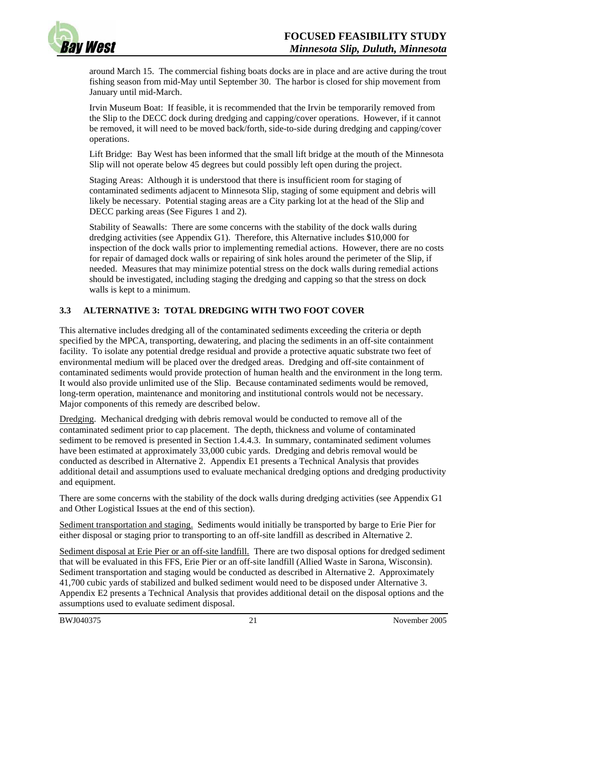<span id="page-27-0"></span>

around March 15. The commercial fishing boats docks are in place and are active during the trout fishing season from mid-May until September 30. The harbor is closed for ship movement from January until mid-March.

Irvin Museum Boat: If feasible, it is recommended that the Irvin be temporarily removed from the Slip to the DECC dock during dredging and capping/cover operations. However, if it cannot be removed, it will need to be moved back/forth, side-to-side during dredging and capping/cover operations.

Lift Bridge: Bay West has been informed that the small lift bridge at the mouth of the Minnesota Slip will not operate below 45 degrees but could possibly left open during the project.

Staging Areas: Although it is understood that there is insufficient room for staging of contaminated sediments adjacent to Minnesota Slip, staging of some equipment and debris will likely be necessary. Potential staging areas are a City parking lot at the head of the Slip and DECC parking areas (See Figures 1 and 2).

Stability of Seawalls: There are some concerns with the stability of the dock walls during dredging activities (see Appendix G1). Therefore, this Alternative includes \$10,000 for inspection of the dock walls prior to implementing remedial actions. However, there are no costs for repair of damaged dock walls or repairing of sink holes around the perimeter of the Slip, if needed. Measures that may minimize potential stress on the dock walls during remedial actions should be investigated, including staging the dredging and capping so that the stress on dock walls is kept to a minimum.

## **3.3 ALTERNATIVE 3: TOTAL DREDGING WITH TWO FOOT COVER**

This alternative includes dredging all of the contaminated sediments exceeding the criteria or depth specified by the MPCA, transporting, dewatering, and placing the sediments in an off-site containment facility. To isolate any potential dredge residual and provide a protective aquatic substrate two feet of environmental medium will be placed over the dredged areas. Dredging and off-site containment of contaminated sediments would provide protection of human health and the environment in the long term. It would also provide unlimited use of the Slip. Because contaminated sediments would be removed, long-term operation, maintenance and monitoring and institutional controls would not be necessary. Major components of this remedy are described below.

Dredging. Mechanical dredging with debris removal would be conducted to remove all of the contaminated sediment prior to cap placement. The depth, thickness and volume of contaminated sediment to be removed is presented in Section 1.4.4.3. In summary, contaminated sediment volumes have been estimated at approximately 33,000 cubic yards. Dredging and debris removal would be conducted as described in Alternative 2. Appendix E1 presents a Technical Analysis that provides additional detail and assumptions used to evaluate mechanical dredging options and dredging productivity and equipment.

There are some concerns with the stability of the dock walls during dredging activities (see Appendix G1 and Other Logistical Issues at the end of this section).

Sediment transportation and staging. Sediments would initially be transported by barge to Erie Pier for either disposal or staging prior to transporting to an off-site landfill as described in Alternative 2.

Sediment disposal at Erie Pier or an off-site landfill. There are two disposal options for dredged sediment that will be evaluated in this FFS, Erie Pier or an off-site landfill (Allied Waste in Sarona, Wisconsin). Sediment transportation and staging would be conducted as described in Alternative 2. Approximately 41,700 cubic yards of stabilized and bulked sediment would need to be disposed under Alternative 3. Appendix E2 presents a Technical Analysis that provides additional detail on the disposal options and the assumptions used to evaluate sediment disposal.

BWJ040375 21 November 2005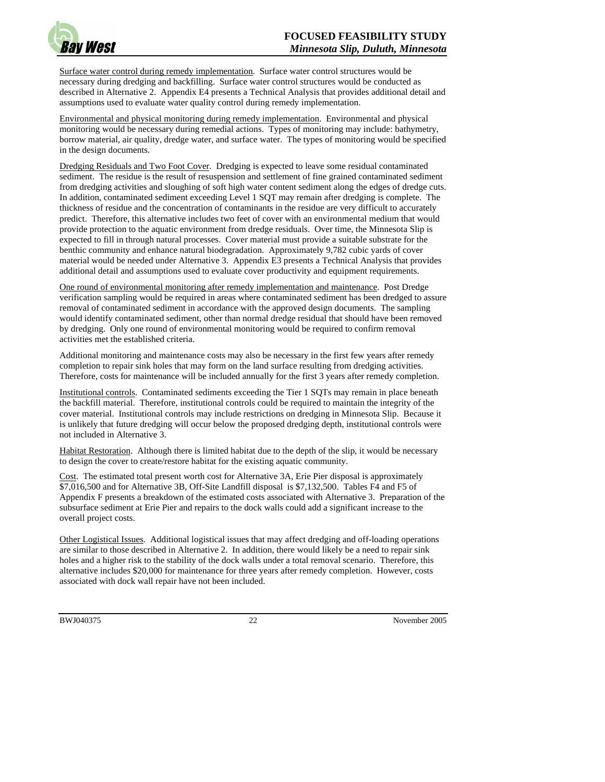

Surface water control during remedy implementation. Surface water control structures would be necessary during dredging and backfilling. Surface water control structures would be conducted as described in Alternative 2. Appendix E4 presents a Technical Analysis that provides additional detail and assumptions used to evaluate water quality control during remedy implementation.

Environmental and physical monitoring during remedy implementation. Environmental and physical monitoring would be necessary during remedial actions. Types of monitoring may include: bathymetry, borrow material, air quality, dredge water, and surface water. The types of monitoring would be specified in the design documents.

Dredging Residuals and Two Foot Cover. Dredging is expected to leave some residual contaminated sediment. The residue is the result of resuspension and settlement of fine grained contaminated sediment from dredging activities and sloughing of soft high water content sediment along the edges of dredge cuts. In addition, contaminated sediment exceeding Level 1 SQT may remain after dredging is complete. The thickness of residue and the concentration of contaminants in the residue are very difficult to accurately predict. Therefore, this alternative includes two feet of cover with an environmental medium that would provide protection to the aquatic environment from dredge residuals. Over time, the Minnesota Slip is expected to fill in through natural processes. Cover material must provide a suitable substrate for the benthic community and enhance natural biodegradation. Approximately 9,782 cubic yards of cover material would be needed under Alternative 3. Appendix E3 presents a Technical Analysis that provides additional detail and assumptions used to evaluate cover productivity and equipment requirements.

One round of environmental monitoring after remedy implementation and maintenance. Post Dredge verification sampling would be required in areas where contaminated sediment has been dredged to assure removal of contaminated sediment in accordance with the approved design documents. The sampling would identify contaminated sediment, other than normal dredge residual that should have been removed by dredging. Only one round of environmental monitoring would be required to confirm removal activities met the established criteria.

Additional monitoring and maintenance costs may also be necessary in the first few years after remedy completion to repair sink holes that may form on the land surface resulting from dredging activities. Therefore, costs for maintenance will be included annually for the first 3 years after remedy completion.

Institutional controls. Contaminated sediments exceeding the Tier 1 SQTs may remain in place beneath the backfill material. Therefore, institutional controls could be required to maintain the integrity of the cover material. Institutional controls may include restrictions on dredging in Minnesota Slip. Because it is unlikely that future dredging will occur below the proposed dredging depth, institutional controls were not included in Alternative 3.

Habitat Restoration. Although there is limited habitat due to the depth of the slip, it would be necessary to design the cover to create/restore habitat for the existing aquatic community.

Cost. The estimated total present worth cost for Alternative 3A, Erie Pier disposal is approximately \$7,016,500 and for Alternative 3B, Off-Site Landfill disposal is \$7,132,500. Tables F4 and F5 of Appendix F presents a breakdown of the estimated costs associated with Alternative 3. Preparation of the subsurface sediment at Erie Pier and repairs to the dock walls could add a significant increase to the overall project costs.

Other Logistical Issues. Additional logistical issues that may affect dredging and off-loading operations are similar to those described in Alternative 2. In addition, there would likely be a need to repair sink holes and a higher risk to the stability of the dock walls under a total removal scenario. Therefore, this alternative includes \$20,000 for maintenance for three years after remedy completion. However, costs associated with dock wall repair have not been included.

BWJ040375 22 November 2005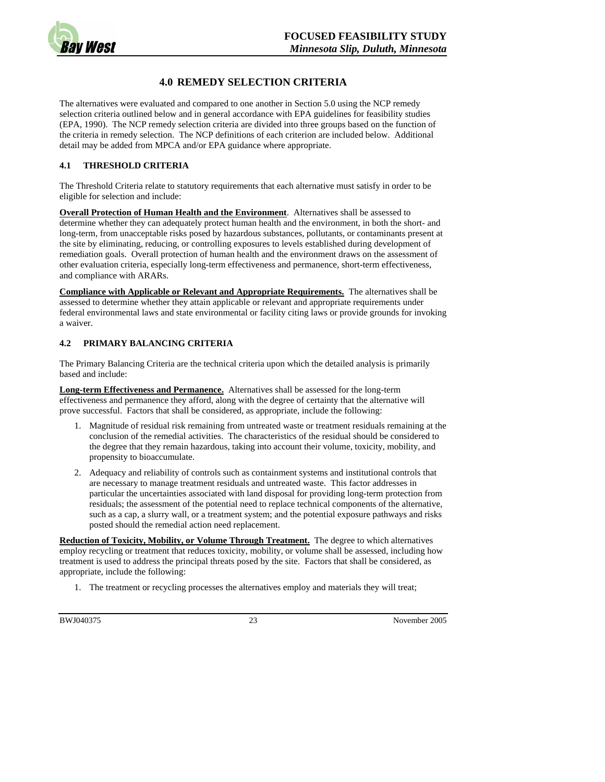<span id="page-29-0"></span>

# **4.0 REMEDY SELECTION CRITERIA**

The alternatives were evaluated and compared to one another in Section 5.0 using the NCP remedy selection criteria outlined below and in general accordance with EPA guidelines for feasibility studies (EPA, 1990). The NCP remedy selection criteria are divided into three groups based on the function of the criteria in remedy selection. The NCP definitions of each criterion are included below. Additional detail may be added from MPCA and/or EPA guidance where appropriate.

## **4.1 THRESHOLD CRITERIA**

The Threshold Criteria relate to statutory requirements that each alternative must satisfy in order to be eligible for selection and include:

**Overall Protection of Human Health and the Environment**. Alternatives shall be assessed to determine whether they can adequately protect human health and the environment, in both the short- and long-term, from unacceptable risks posed by hazardous substances, pollutants, or contaminants present at the site by eliminating, reducing, or controlling exposures to levels established during development of remediation goals. Overall protection of human health and the environment draws on the assessment of other evaluation criteria, especially long-term effectiveness and permanence, short-term effectiveness, and compliance with ARARs.

**Compliance with Applicable or Relevant and Appropriate Requirements.** The alternatives shall be assessed to determine whether they attain applicable or relevant and appropriate requirements under federal environmental laws and state environmental or facility citing laws or provide grounds for invoking a waiver.

#### **4.2 PRIMARY BALANCING CRITERIA**

The Primary Balancing Criteria are the technical criteria upon which the detailed analysis is primarily based and include:

**Long-term Effectiveness and Permanence.** Alternatives shall be assessed for the long-term effectiveness and permanence they afford, along with the degree of certainty that the alternative will prove successful. Factors that shall be considered, as appropriate, include the following:

- 1. Magnitude of residual risk remaining from untreated waste or treatment residuals remaining at the conclusion of the remedial activities. The characteristics of the residual should be considered to the degree that they remain hazardous, taking into account their volume, toxicity, mobility, and propensity to bioaccumulate.
- 2. Adequacy and reliability of controls such as containment systems and institutional controls that are necessary to manage treatment residuals and untreated waste. This factor addresses in particular the uncertainties associated with land disposal for providing long-term protection from residuals; the assessment of the potential need to replace technical components of the alternative, such as a cap, a slurry wall, or a treatment system; and the potential exposure pathways and risks posted should the remedial action need replacement.

**Reduction of Toxicity, Mobility, or Volume Through Treatment.** The degree to which alternatives employ recycling or treatment that reduces toxicity, mobility, or volume shall be assessed, including how treatment is used to address the principal threats posed by the site. Factors that shall be considered, as appropriate, include the following:

1. The treatment or recycling processes the alternatives employ and materials they will treat;

BWJ040375 23 November 2005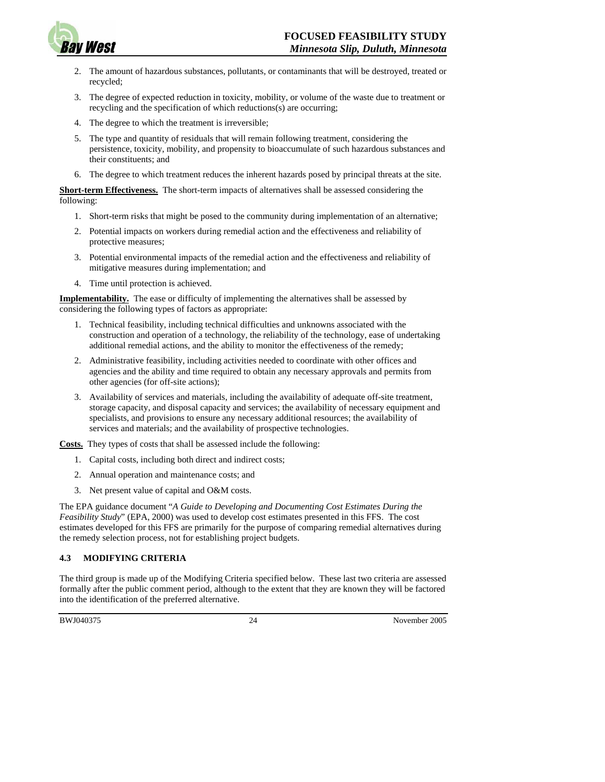<span id="page-30-0"></span>

- 2. The amount of hazardous substances, pollutants, or contaminants that will be destroyed, treated or recycled;
- 3. The degree of expected reduction in toxicity, mobility, or volume of the waste due to treatment or recycling and the specification of which reductions(s) are occurring;
- 4. The degree to which the treatment is irreversible;
- 5. The type and quantity of residuals that will remain following treatment, considering the persistence, toxicity, mobility, and propensity to bioaccumulate of such hazardous substances and their constituents; and
- 6. The degree to which treatment reduces the inherent hazards posed by principal threats at the site.

**Short-term Effectiveness.** The short-term impacts of alternatives shall be assessed considering the following:

- 1. Short-term risks that might be posed to the community during implementation of an alternative;
- 2. Potential impacts on workers during remedial action and the effectiveness and reliability of protective measures;
- 3. Potential environmental impacts of the remedial action and the effectiveness and reliability of mitigative measures during implementation; and
- 4. Time until protection is achieved.

**Implementability.** The ease or difficulty of implementing the alternatives shall be assessed by considering the following types of factors as appropriate:

- 1. Technical feasibility, including technical difficulties and unknowns associated with the construction and operation of a technology, the reliability of the technology, ease of undertaking additional remedial actions, and the ability to monitor the effectiveness of the remedy;
- 2. Administrative feasibility, including activities needed to coordinate with other offices and agencies and the ability and time required to obtain any necessary approvals and permits from other agencies (for off-site actions);
- 3. Availability of services and materials, including the availability of adequate off-site treatment, storage capacity, and disposal capacity and services; the availability of necessary equipment and specialists, and provisions to ensure any necessary additional resources; the availability of services and materials; and the availability of prospective technologies.

**Costs.** They types of costs that shall be assessed include the following:

- 1. Capital costs, including both direct and indirect costs;
- 2. Annual operation and maintenance costs; and
- 3. Net present value of capital and O&M costs.

The EPA guidance document "*A Guide to Developing and Documenting Cost Estimates During the Feasibility Study*" (EPA, 2000) was used to develop cost estimates presented in this FFS. The cost estimates developed for this FFS are primarily for the purpose of comparing remedial alternatives during the remedy selection process, not for establishing project budgets.

## **4.3 MODIFYING CRITERIA**

The third group is made up of the Modifying Criteria specified below. These last two criteria are assessed formally after the public comment period, although to the extent that they are known they will be factored into the identification of the preferred alternative.

BWJ040375 24 November 2005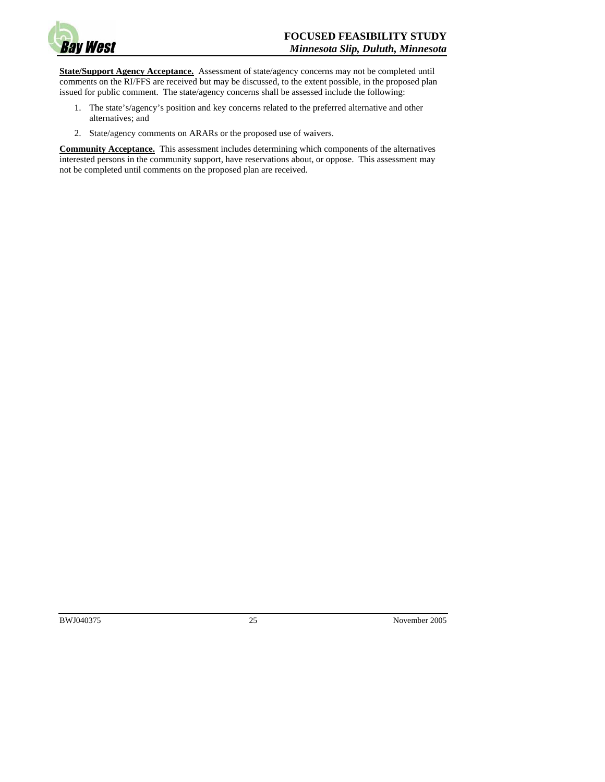

**State/Support Agency Acceptance.** Assessment of state/agency concerns may not be completed until comments on the RI/FFS are received but may be discussed, to the extent possible, in the proposed plan issued for public comment. The state/agency concerns shall be assessed include the following:

- 1. The state's/agency's position and key concerns related to the preferred alternative and other alternatives; and
- 2. State/agency comments on ARARs or the proposed use of waivers.

**Community Acceptance.** This assessment includes determining which components of the alternatives interested persons in the community support, have reservations about, or oppose. This assessment may not be completed until comments on the proposed plan are received.

BWJ040375 25 November 2005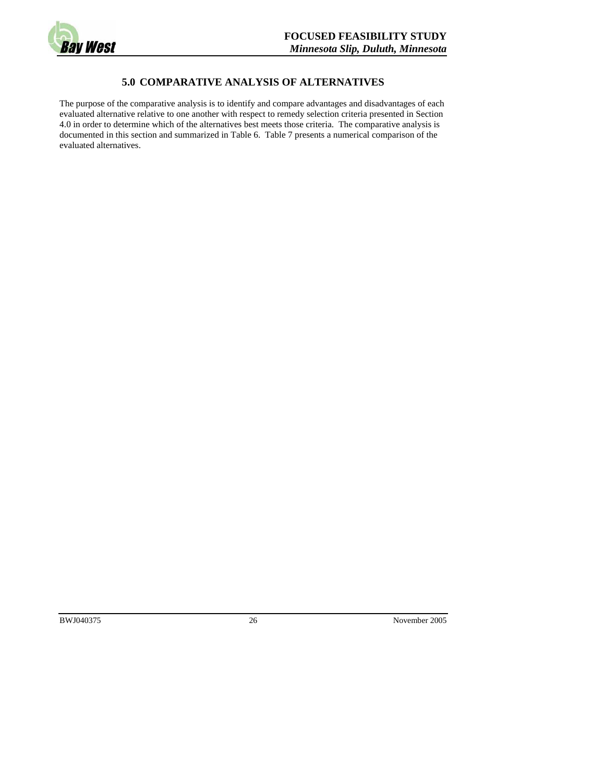<span id="page-32-0"></span>

# **5.0 COMPARATIVE ANALYSIS OF ALTERNATIVES**

The purpose of the comparative analysis is to identify and compare advantages and disadvantages of each evaluated alternative relative to one another with respect to remedy selection criteria presented in Section 4.0 in order to determine which of the alternatives best meets those criteria. The comparative analysis is documented in this section and summarized in Table 6. Table 7 presents a numerical comparison of the evaluated alternatives.

BWJ040375 26 November 2005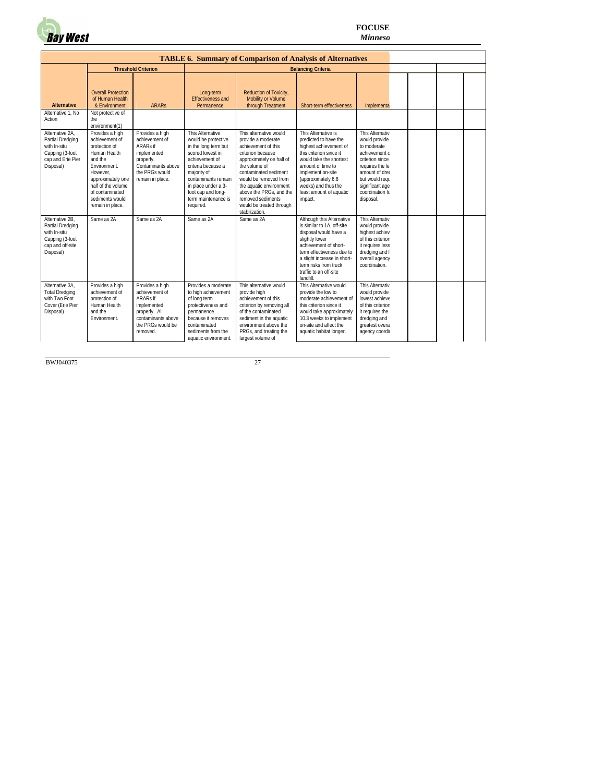

|                                                                                                          | <b>TABLE 6. Summary of Comparison of Analysis of Alternatives</b>                                                                                                                                              |                                                                                                                                       |                                                                                                                                                                                                                                                    |                                                                                                                                                                                                                                                                                                                  |                                                                                                                                                                                                                                                           |                                                                                                                                                                                               |  |  |  |
|----------------------------------------------------------------------------------------------------------|----------------------------------------------------------------------------------------------------------------------------------------------------------------------------------------------------------------|---------------------------------------------------------------------------------------------------------------------------------------|----------------------------------------------------------------------------------------------------------------------------------------------------------------------------------------------------------------------------------------------------|------------------------------------------------------------------------------------------------------------------------------------------------------------------------------------------------------------------------------------------------------------------------------------------------------------------|-----------------------------------------------------------------------------------------------------------------------------------------------------------------------------------------------------------------------------------------------------------|-----------------------------------------------------------------------------------------------------------------------------------------------------------------------------------------------|--|--|--|
|                                                                                                          |                                                                                                                                                                                                                | <b>Threshold Criterion</b>                                                                                                            | <b>Balancing Criteria</b>                                                                                                                                                                                                                          |                                                                                                                                                                                                                                                                                                                  |                                                                                                                                                                                                                                                           |                                                                                                                                                                                               |  |  |  |
| <b>Alternative</b><br>Alternative 1. No                                                                  | <b>Overall Protection</b><br>of Human Health<br>& Environment<br>Not protective of                                                                                                                             | <b>ARARS</b>                                                                                                                          | Long-term<br><b>Effectiveness and</b><br>Permanence                                                                                                                                                                                                | Reduction of Toxicity,<br><b>Mobility or Volume</b><br>through Treatment                                                                                                                                                                                                                                         | Short-term effectiveness                                                                                                                                                                                                                                  | Implementa                                                                                                                                                                                    |  |  |  |
| Action                                                                                                   | the<br>environment(1)                                                                                                                                                                                          |                                                                                                                                       |                                                                                                                                                                                                                                                    |                                                                                                                                                                                                                                                                                                                  |                                                                                                                                                                                                                                                           |                                                                                                                                                                                               |  |  |  |
| Alternative 2A.<br>Partial Dredging<br>with In-situ<br>Capping (3-foot<br>cap and Erie Pier<br>Disposal) | Provides a high<br>achievement of<br>protection of<br>Human Health<br>and the<br>Environment.<br>However.<br>approximately one<br>half of the volume<br>of contaminated<br>sediments would<br>remain in place. | Provides a high<br>achievement of<br>ARARs if<br>implemented<br>properly.<br>Contaminants above<br>the PRGs would<br>remain in place. | This Alternative<br>would be protective<br>in the long term but<br>scored lowest in<br>achievement of<br>criteria because a<br>majority of<br>contaminants remain<br>in place under a 3-<br>foot cap and long-<br>term maintenance is<br>required. | This alternative would<br>provide a moderate<br>achievement of this<br>criterion because<br>approximately oe half of<br>the volume of<br>contaminated sediment<br>would be removed from<br>the aquatic environment<br>above the PRGs, and the<br>removed sediments<br>would be treated through<br>stabilization. | This Alternative is<br>predicted to have the<br>highest achievement of<br>this criterion since it<br>would take the shortest<br>amount of time to<br>implement on-site<br>(approximately 6.6<br>weeks) and thus the<br>least amount of aquatic<br>impact. | This Alternativ<br>would provide<br>to moderate<br>achievement o<br>criterion since<br>requires the le<br>amount of drec<br>but would requ<br>significant age<br>coordination fc<br>disposal. |  |  |  |
| Alternative 2B,<br>Partial Dredging<br>with In-situ<br>Capping (3-foot<br>cap and off-site<br>Disposal)  | Same as 2A                                                                                                                                                                                                     | Same as 2A                                                                                                                            | Same as 2A                                                                                                                                                                                                                                         | Same as 2A                                                                                                                                                                                                                                                                                                       | Although this Alternative<br>is similar to 1A, off-site<br>disposal would have a<br>slightly lower<br>achievement of short-<br>term effectiveness due to<br>a slight increase in short-<br>term risks from truck<br>traffic to an off-site<br>landfill.   | This Alternativ<br>would provide<br>highest achiev<br>of this criterion<br>it requires less<br>dredging and I<br>overall agency<br>coordination.                                              |  |  |  |
| Alternative 3A.<br><b>Total Dredging</b><br>with Two Foot<br>Cover (Erie Pier<br>Disposal)               | Provides a high<br>achievement of<br>protection of<br>Human Health<br>and the<br>Environment.                                                                                                                  | Provides a high<br>achievement of<br>ARARs if<br>implemented<br>properly. All<br>contaminants above<br>the PRGs would be<br>removed.  | Provides a moderate<br>to high achievement<br>of long term<br>protectiveness and<br>permanence<br>because it removes<br>contaminated<br>sediments from the<br>aquatic environment.                                                                 | This alternative would<br>provide high<br>achievement of this<br>criterion by removing all<br>of the contaminated<br>sediment in the aquatic<br>environment above the<br>PRGs, and treating the<br>largest volume of                                                                                             | This Alternative would<br>provide the low to<br>moderate achievement of<br>this criterion since it<br>would take approximately<br>10.3 weeks to implement<br>on-site and affect the<br>aquatic habitat longer.                                            | This Alternativ<br>would provide<br>lowest achieve<br>of this criterion<br>it requires the<br>dredging and<br>greatest overa<br>agency coordir                                                |  |  |  |

BWJ040375 27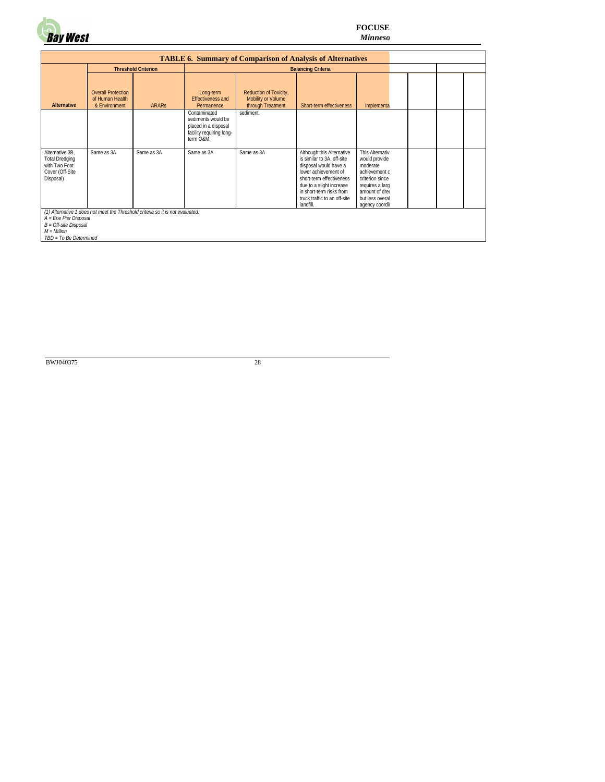

|                                                                                            | <b>TABLE 6. Summary of Comparison of Analysis of Alternatives</b> |                                                                                |                                                                                                     |                                                                          |                                                                                                                                                                                                                                           |                                                                                                                                                            |  |  |  |
|--------------------------------------------------------------------------------------------|-------------------------------------------------------------------|--------------------------------------------------------------------------------|-----------------------------------------------------------------------------------------------------|--------------------------------------------------------------------------|-------------------------------------------------------------------------------------------------------------------------------------------------------------------------------------------------------------------------------------------|------------------------------------------------------------------------------------------------------------------------------------------------------------|--|--|--|
|                                                                                            | <b>Threshold Criterion</b>                                        |                                                                                |                                                                                                     |                                                                          | <b>Balancing Criteria</b>                                                                                                                                                                                                                 |                                                                                                                                                            |  |  |  |
| Alternative                                                                                | <b>Overall Protection</b><br>of Human Health<br>& Environment     | <b>ARARS</b>                                                                   | Long-term<br><b>Effectiveness and</b><br>Permanence                                                 | Reduction of Toxicity,<br><b>Mobility or Volume</b><br>through Treatment | Short-term effectiveness                                                                                                                                                                                                                  | Implementa                                                                                                                                                 |  |  |  |
|                                                                                            |                                                                   |                                                                                | Contaminated<br>sediments would be<br>placed in a disposal<br>facility requiring long-<br>term O&M. | sediment.                                                                |                                                                                                                                                                                                                                           |                                                                                                                                                            |  |  |  |
| Alternative 3B,<br><b>Total Dredging</b><br>with Two Foot<br>Cover (Off-Site<br>Disposal)  | Same as 3A                                                        | Same as 3A                                                                     | Same as 3A                                                                                          | Same as 3A                                                               | Although this Alternative<br>is similar to 3A, off-site<br>disposal would have a<br>lower achievement of<br>short-term effectiveness<br>due to a slight increase<br>in short-term risks from<br>truck traffic to an off-site<br>landfill. | This Alternativ<br>would provide<br>moderate<br>achievement o<br>criterion since<br>requires a larg<br>amount of drec<br>but less overal<br>agency coordir |  |  |  |
| A = Erie Pier Disposal<br>B = Off-site Disposal<br>$M =$ Million<br>TBD = To Be Determined |                                                                   | (1) Alternative 1 does not meet the Threshold criteria so it is not evaluated. |                                                                                                     |                                                                          |                                                                                                                                                                                                                                           |                                                                                                                                                            |  |  |  |

BWJ040375 28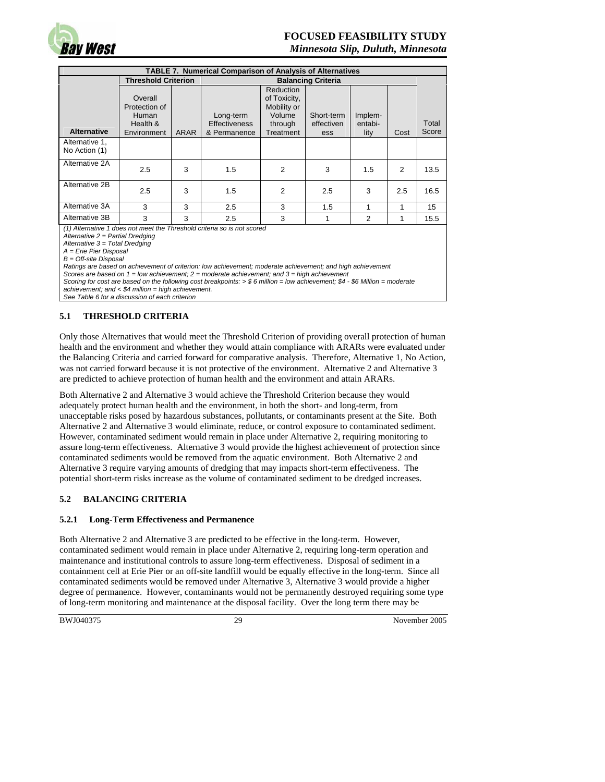<span id="page-35-0"></span>

## **FOCUSED FEASIBILITY STUDY**  *Minnesota Slip, Duluth, Minnesota*

|                                 | <b>TABLE 7. Numerical Comparison of Analysis of Alternatives</b> |                           |                                                                         |                                                                            |                                 |                            |      |                |
|---------------------------------|------------------------------------------------------------------|---------------------------|-------------------------------------------------------------------------|----------------------------------------------------------------------------|---------------------------------|----------------------------|------|----------------|
|                                 | <b>Threshold Criterion</b>                                       | <b>Balancing Criteria</b> |                                                                         |                                                                            |                                 |                            |      |                |
| <b>Alternative</b>              | Overall<br>Protection of<br>Human<br>Health &<br>Environment     | <b>ARAR</b>               | Long-term<br><b>Effectiveness</b><br>& Permanence                       | Reduction<br>of Toxicity,<br>Mobility or<br>Volume<br>through<br>Treatment | Short-term<br>effectiven<br>ess | Implem-<br>entabi-<br>lity | Cost | Total<br>Score |
| Alternative 1,<br>No Action (1) |                                                                  |                           |                                                                         |                                                                            |                                 |                            |      |                |
| Alternative 2A                  | 2.5                                                              | 3                         | 1.5                                                                     | 2                                                                          | 3                               | 1.5                        | 2    | 13.5           |
| Alternative 2B                  | 2.5                                                              | 3                         | 1.5                                                                     | 2                                                                          | 2.5                             | 3                          | 2.5  | 16.5           |
| Alternative 3A                  | 3                                                                | 3                         | 2.5                                                                     | 3                                                                          | 1.5                             | 1                          |      | 15             |
| Alternative 3B                  | 3                                                                | 3                         | 2.5                                                                     | 3                                                                          | 4                               | 2                          |      | 15.5           |
|                                 |                                                                  |                           | (1) Alternative 1 does not meet the Threshold criteria so is not scored |                                                                            |                                 |                            |      |                |

*Alternative 2 = Partial Dredging* 

*Alternative 3 = Total Dredging* 

*A = Erie Pier Disposal* 

*B = Off-site Disposal* 

*Ratings are based on achievement of criterion: low achievement; moderate achievement; and high achievement* 

*Scores are based on 1 = low achievement; 2 = moderate achievement; and 3 = high achievement* 

*Scoring for cost are based on the following cost breakpoints: > \$ 6 million = low achievement; \$4 - \$6 Million = moderate achievement; and < \$4 million = high achievement.* 

*See Table 6 for a discussion of each criterion* 

## **5.1 THRESHOLD CRITERIA**

Only those Alternatives that would meet the Threshold Criterion of providing overall protection of human health and the environment and whether they would attain compliance with ARARs were evaluated under the Balancing Criteria and carried forward for comparative analysis. Therefore, Alternative 1, No Action, was not carried forward because it is not protective of the environment. Alternative 2 and Alternative 3 are predicted to achieve protection of human health and the environment and attain ARARs.

Both Alternative 2 and Alternative 3 would achieve the Threshold Criterion because they would adequately protect human health and the environment, in both the short- and long-term, from unacceptable risks posed by hazardous substances, pollutants, or contaminants present at the Site. Both Alternative 2 and Alternative 3 would eliminate, reduce, or control exposure to contaminated sediment. However, contaminated sediment would remain in place under Alternative 2, requiring monitoring to assure long-term effectiveness. Alternative 3 would provide the highest achievement of protection since contaminated sediments would be removed from the aquatic environment. Both Alternative 2 and Alternative 3 require varying amounts of dredging that may impacts short-term effectiveness. The potential short-term risks increase as the volume of contaminated sediment to be dredged increases.

## **5.2 BALANCING CRITERIA**

#### **5.2.1 Long-Term Effectiveness and Permanence**

Both Alternative 2 and Alternative 3 are predicted to be effective in the long-term. However, contaminated sediment would remain in place under Alternative 2, requiring long-term operation and maintenance and institutional controls to assure long-term effectiveness. Disposal of sediment in a containment cell at Erie Pier or an off-site landfill would be equally effective in the long-term. Since all contaminated sediments would be removed under Alternative 3, Alternative 3 would provide a higher degree of permanence. However, contaminants would not be permanently destroyed requiring some type of long-term monitoring and maintenance at the disposal facility. Over the long term there may be

BWJ040375 29 November 2005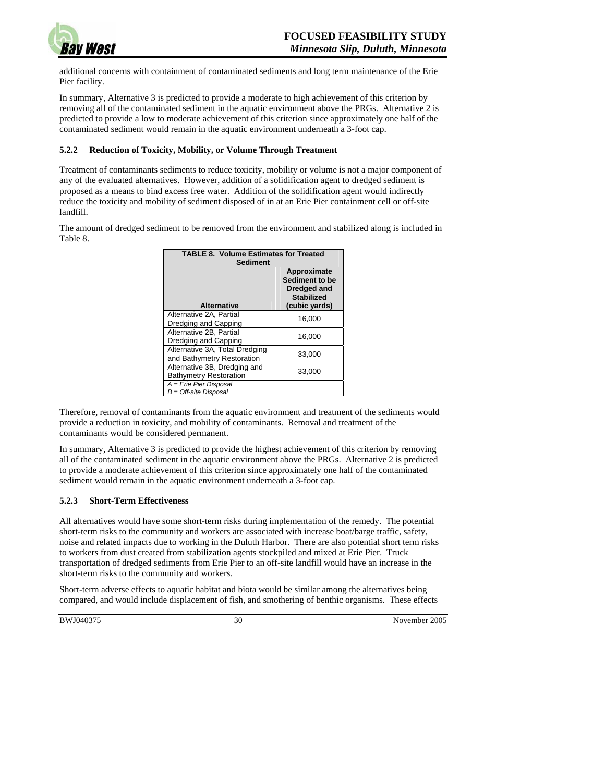<span id="page-36-0"></span>

additional concerns with containment of contaminated sediments and long term maintenance of the Erie Pier facility.

In summary, Alternative 3 is predicted to provide a moderate to high achievement of this criterion by removing all of the contaminated sediment in the aquatic environment above the PRGs. Alternative 2 is predicted to provide a low to moderate achievement of this criterion since approximately one half of the contaminated sediment would remain in the aquatic environment underneath a 3-foot cap.

#### **5.2.2 Reduction of Toxicity, Mobility, or Volume Through Treatment**

Treatment of contaminants sediments to reduce toxicity, mobility or volume is not a major component of any of the evaluated alternatives. However, addition of a solidification agent to dredged sediment is proposed as a means to bind excess free water. Addition of the solidification agent would indirectly reduce the toxicity and mobility of sediment disposed of in at an Erie Pier containment cell or off-site landfill.

The amount of dredged sediment to be removed from the environment and stabilized along is included in Table 8.

| <b>TABLE 8. Volume Estimates for Treated</b><br><b>Sediment</b> |                                                                                           |  |  |  |  |  |
|-----------------------------------------------------------------|-------------------------------------------------------------------------------------------|--|--|--|--|--|
| <b>Alternative</b>                                              | Approximate<br>Sediment to be<br><b>Dredged and</b><br><b>Stabilized</b><br>(cubic yards) |  |  |  |  |  |
| Alternative 2A, Partial<br>Dredging and Capping                 | 16.000                                                                                    |  |  |  |  |  |
| Alternative 2B, Partial<br>Dredging and Capping                 | 16,000                                                                                    |  |  |  |  |  |
| Alternative 3A, Total Dredging<br>and Bathymetry Restoration    | 33,000                                                                                    |  |  |  |  |  |
| Alternative 3B, Dredging and<br><b>Bathymetry Restoration</b>   | 33,000                                                                                    |  |  |  |  |  |
| $A = E$ rie Pier Disposal<br>$B =$ Off-site Disposal            |                                                                                           |  |  |  |  |  |

Therefore, removal of contaminants from the aquatic environment and treatment of the sediments would provide a reduction in toxicity, and mobility of contaminants. Removal and treatment of the contaminants would be considered permanent.

In summary, Alternative 3 is predicted to provide the highest achievement of this criterion by removing all of the contaminated sediment in the aquatic environment above the PRGs. Alternative 2 is predicted to provide a moderate achievement of this criterion since approximately one half of the contaminated sediment would remain in the aquatic environment underneath a 3-foot cap.

#### **5.2.3 Short-Term Effectiveness**

All alternatives would have some short-term risks during implementation of the remedy. The potential short-term risks to the community and workers are associated with increase boat/barge traffic, safety, noise and related impacts due to working in the Duluth Harbor. There are also potential short term risks to workers from dust created from stabilization agents stockpiled and mixed at Erie Pier. Truck transportation of dredged sediments from Erie Pier to an off-site landfill would have an increase in the short-term risks to the community and workers.

Short-term adverse effects to aquatic habitat and biota would be similar among the alternatives being compared, and would include displacement of fish, and smothering of benthic organisms. These effects

BWJ040375 30 November 2005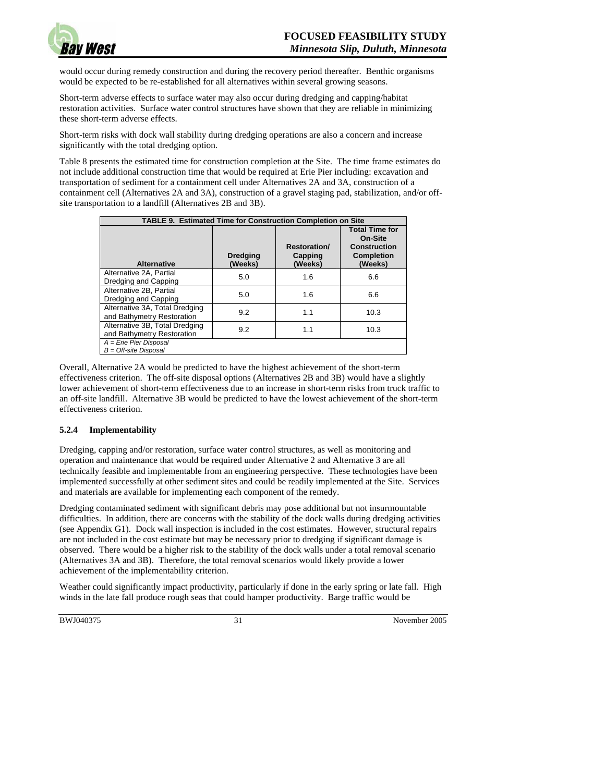<span id="page-37-0"></span>

would occur during remedy construction and during the recovery period thereafter. Benthic organisms would be expected to be re-established for all alternatives within several growing seasons.

Short-term adverse effects to surface water may also occur during dredging and capping/habitat restoration activities. Surface water control structures have shown that they are reliable in minimizing these short-term adverse effects.

Short-term risks with dock wall stability during dredging operations are also a concern and increase significantly with the total dredging option.

Table 8 presents the estimated time for construction completion at the Site. The time frame estimates do not include additional construction time that would be required at Erie Pier including: excavation and transportation of sediment for a containment cell under Alternatives 2A and 3A, construction of a containment cell (Alternatives 2A and 3A), construction of a gravel staging pad, stabilization, and/or offsite transportation to a landfill (Alternatives 2B and 3B).

| <b>TABLE 9. Estimated Time for Construction Completion on Site</b> |                            |                                           |                                                                                         |
|--------------------------------------------------------------------|----------------------------|-------------------------------------------|-----------------------------------------------------------------------------------------|
| <b>Alternative</b>                                                 | <b>Dredging</b><br>(Weeks) | <b>Restoration/</b><br>Capping<br>(Weeks) | <b>Total Time for</b><br>On-Site<br><b>Construction</b><br><b>Completion</b><br>(Weeks) |
| Alternative 2A, Partial<br>Dredging and Capping                    | 5.0                        | 1.6                                       | 6.6                                                                                     |
| Alternative 2B, Partial<br>Dredging and Capping                    | 5.0                        | 1.6                                       | 6.6                                                                                     |
| Alternative 3A, Total Dredging<br>and Bathymetry Restoration       | 9.2                        | 1.1                                       | 10.3                                                                                    |
| Alternative 3B, Total Dredging<br>and Bathymetry Restoration       | 9.2                        | 1.1                                       | 10.3                                                                                    |
| $A = E$ rie Pier Disposal<br>$B =$ Off-site Disposal               |                            |                                           |                                                                                         |

Overall, Alternative 2A would be predicted to have the highest achievement of the short-term effectiveness criterion. The off-site disposal options (Alternatives 2B and 3B) would have a slightly lower achievement of short-term effectiveness due to an increase in short-term risks from truck traffic to an off-site landfill. Alternative 3B would be predicted to have the lowest achievement of the short-term effectiveness criterion.

#### **5.2.4 Implementability**

Dredging, capping and/or restoration, surface water control structures, as well as monitoring and operation and maintenance that would be required under Alternative 2 and Alternative 3 are all technically feasible and implementable from an engineering perspective. These technologies have been implemented successfully at other sediment sites and could be readily implemented at the Site. Services and materials are available for implementing each component of the remedy.

Dredging contaminated sediment with significant debris may pose additional but not insurmountable difficulties. In addition, there are concerns with the stability of the dock walls during dredging activities (see Appendix G1). Dock wall inspection is included in the cost estimates. However, structural repairs are not included in the cost estimate but may be necessary prior to dredging if significant damage is observed. There would be a higher risk to the stability of the dock walls under a total removal scenario (Alternatives 3A and 3B). Therefore, the total removal scenarios would likely provide a lower achievement of the implementability criterion.

Weather could significantly impact productivity, particularly if done in the early spring or late fall. High winds in the late fall produce rough seas that could hamper productivity. Barge traffic would be

BWJ040375 31 November 2005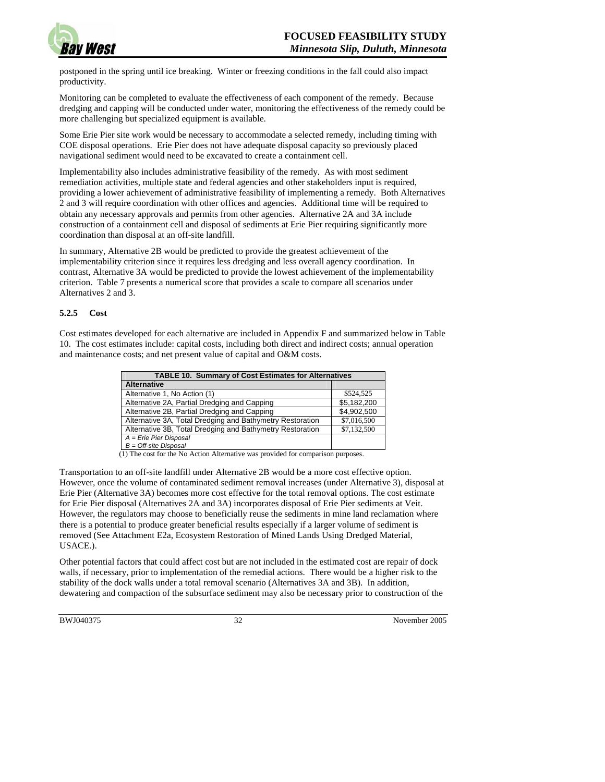<span id="page-38-0"></span>

postponed in the spring until ice breaking. Winter or freezing conditions in the fall could also impact productivity.

Monitoring can be completed to evaluate the effectiveness of each component of the remedy. Because dredging and capping will be conducted under water, monitoring the effectiveness of the remedy could be more challenging but specialized equipment is available.

Some Erie Pier site work would be necessary to accommodate a selected remedy, including timing with COE disposal operations. Erie Pier does not have adequate disposal capacity so previously placed navigational sediment would need to be excavated to create a containment cell.

Implementability also includes administrative feasibility of the remedy. As with most sediment remediation activities, multiple state and federal agencies and other stakeholders input is required, providing a lower achievement of administrative feasibility of implementing a remedy. Both Alternatives 2 and 3 will require coordination with other offices and agencies. Additional time will be required to obtain any necessary approvals and permits from other agencies. Alternative 2A and 3A include construction of a containment cell and disposal of sediments at Erie Pier requiring significantly more coordination than disposal at an off-site landfill.

In summary, Alternative 2B would be predicted to provide the greatest achievement of the implementability criterion since it requires less dredging and less overall agency coordination. In contrast, Alternative 3A would be predicted to provide the lowest achievement of the implementability criterion. Table 7 presents a numerical score that provides a scale to compare all scenarios under Alternatives 2 and 3.

#### **5.2.5 Cost**

Cost estimates developed for each alternative are included in Appendix F and summarized below in Table 10. The cost estimates include: capital costs, including both direct and indirect costs; annual operation and maintenance costs; and net present value of capital and O&M costs.

| <b>TABLE 10. Summary of Cost Estimates for Alternatives</b> |             |  |  |
|-------------------------------------------------------------|-------------|--|--|
| <b>Alternative</b>                                          |             |  |  |
| Alternative 1, No Action (1)                                | \$524,525   |  |  |
| Alternative 2A, Partial Dredging and Capping                | \$5,182,200 |  |  |
| Alternative 2B, Partial Dredging and Capping                | \$4,902,500 |  |  |
| Alternative 3A, Total Dredging and Bathymetry Restoration   | \$7,016,500 |  |  |
| Alternative 3B, Total Dredging and Bathymetry Restoration   | \$7,132,500 |  |  |
| $A = E$ rie Pier Disposal                                   |             |  |  |
| $B =$ Off-site Disposal                                     |             |  |  |

(1) The cost for the No Action Alternative was provided for comparison purposes.

Transportation to an off-site landfill under Alternative 2B would be a more cost effective option. However, once the volume of contaminated sediment removal increases (under Alternative 3), disposal at Erie Pier (Alternative 3A) becomes more cost effective for the total removal options. The cost estimate for Erie Pier disposal (Alternatives 2A and 3A) incorporates disposal of Erie Pier sediments at Veit. However, the regulators may choose to beneficially reuse the sediments in mine land reclamation where there is a potential to produce greater beneficial results especially if a larger volume of sediment is removed (See Attachment E2a, Ecosystem Restoration of Mined Lands Using Dredged Material, USACE.).

Other potential factors that could affect cost but are not included in the estimated cost are repair of dock walls, if necessary, prior to implementation of the remedial actions. There would be a higher risk to the stability of the dock walls under a total removal scenario (Alternatives 3A and 3B). In addition, dewatering and compaction of the subsurface sediment may also be necessary prior to construction of the

BWJ040375 32 November 2005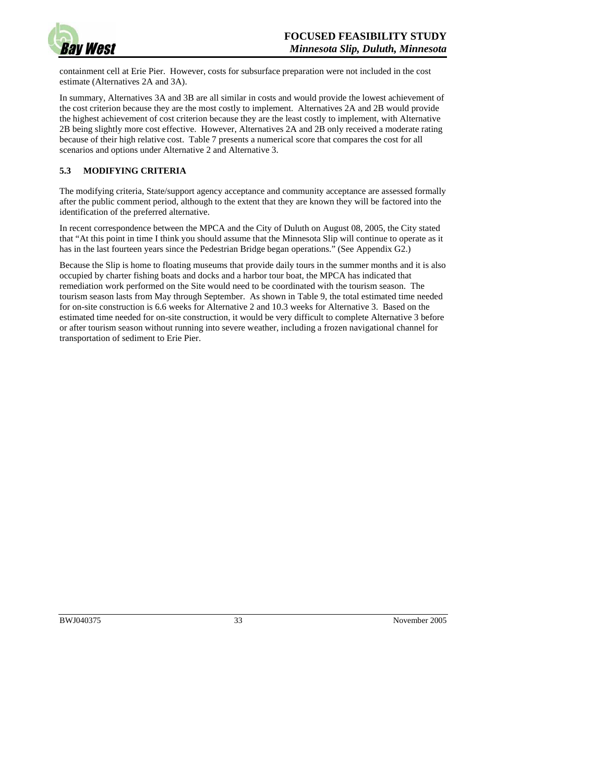<span id="page-39-0"></span>

containment cell at Erie Pier. However, costs for subsurface preparation were not included in the cost estimate (Alternatives 2A and 3A).

In summary, Alternatives 3A and 3B are all similar in costs and would provide the lowest achievement of the cost criterion because they are the most costly to implement. Alternatives 2A and 2B would provide the highest achievement of cost criterion because they are the least costly to implement, with Alternative 2B being slightly more cost effective. However, Alternatives 2A and 2B only received a moderate rating because of their high relative cost. Table 7 presents a numerical score that compares the cost for all scenarios and options under Alternative 2 and Alternative 3.

## **5.3 MODIFYING CRITERIA**

The modifying criteria, State/support agency acceptance and community acceptance are assessed formally after the public comment period, although to the extent that they are known they will be factored into the identification of the preferred alternative.

In recent correspondence between the MPCA and the City of Duluth on August 08, 2005, the City stated that "At this point in time I think you should assume that the Minnesota Slip will continue to operate as it has in the last fourteen years since the Pedestrian Bridge began operations." (See Appendix G2.)

Because the Slip is home to floating museums that provide daily tours in the summer months and it is also occupied by charter fishing boats and docks and a harbor tour boat, the MPCA has indicated that remediation work performed on the Site would need to be coordinated with the tourism season. The tourism season lasts from May through September. As shown in Table 9, the total estimated time needed for on-site construction is 6.6 weeks for Alternative 2 and 10.3 weeks for Alternative 3. Based on the estimated time needed for on-site construction, it would be very difficult to complete Alternative 3 before or after tourism season without running into severe weather, including a frozen navigational channel for transportation of sediment to Erie Pier.

BWJ040375 33 November 2005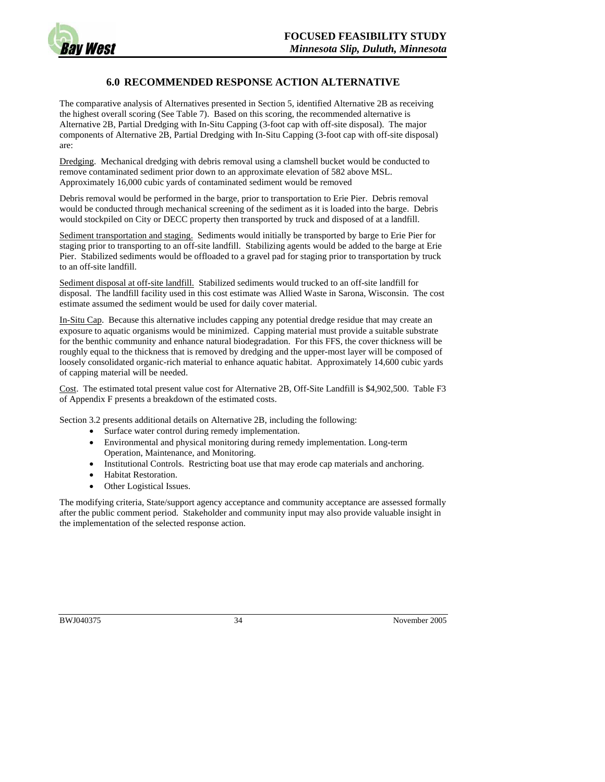<span id="page-40-0"></span>

# **6.0 RECOMMENDED RESPONSE ACTION ALTERNATIVE**

The comparative analysis of Alternatives presented in Section 5, identified Alternative 2B as receiving the highest overall scoring (See Table 7). Based on this scoring, the recommended alternative is Alternative 2B, Partial Dredging with In-Situ Capping (3-foot cap with off-site disposal). The major components of Alternative 2B, Partial Dredging with In-Situ Capping (3-foot cap with off-site disposal) are:

Dredging. Mechanical dredging with debris removal using a clamshell bucket would be conducted to remove contaminated sediment prior down to an approximate elevation of 582 above MSL. Approximately 16,000 cubic yards of contaminated sediment would be removed

Debris removal would be performed in the barge, prior to transportation to Erie Pier. Debris removal would be conducted through mechanical screening of the sediment as it is loaded into the barge. Debris would stockpiled on City or DECC property then transported by truck and disposed of at a landfill.

Sediment transportation and staging. Sediments would initially be transported by barge to Erie Pier for staging prior to transporting to an off-site landfill. Stabilizing agents would be added to the barge at Erie Pier. Stabilized sediments would be offloaded to a gravel pad for staging prior to transportation by truck to an off-site landfill.

Sediment disposal at off-site landfill. Stabilized sediments would trucked to an off-site landfill for disposal. The landfill facility used in this cost estimate was Allied Waste in Sarona, Wisconsin. The cost estimate assumed the sediment would be used for daily cover material.

In-Situ Cap. Because this alternative includes capping any potential dredge residue that may create an exposure to aquatic organisms would be minimized. Capping material must provide a suitable substrate for the benthic community and enhance natural biodegradation. For this FFS, the cover thickness will be roughly equal to the thickness that is removed by dredging and the upper-most layer will be composed of loosely consolidated organic-rich material to enhance aquatic habitat. Approximately 14,600 cubic yards of capping material will be needed.

Cost. The estimated total present value cost for Alternative 2B, Off-Site Landfill is \$4,902,500. Table F3 of Appendix F presents a breakdown of the estimated costs.

Section 3.2 presents additional details on Alternative 2B, including the following:

- Surface water control during remedy implementation.
- Environmental and physical monitoring during remedy implementation. Long-term Operation, Maintenance, and Monitoring.
- Institutional Controls. Restricting boat use that may erode cap materials and anchoring.
- Habitat Restoration.
- Other Logistical Issues.

The modifying criteria, State/support agency acceptance and community acceptance are assessed formally after the public comment period. Stakeholder and community input may also provide valuable insight in the implementation of the selected response action.

BWJ040375 34 November 2005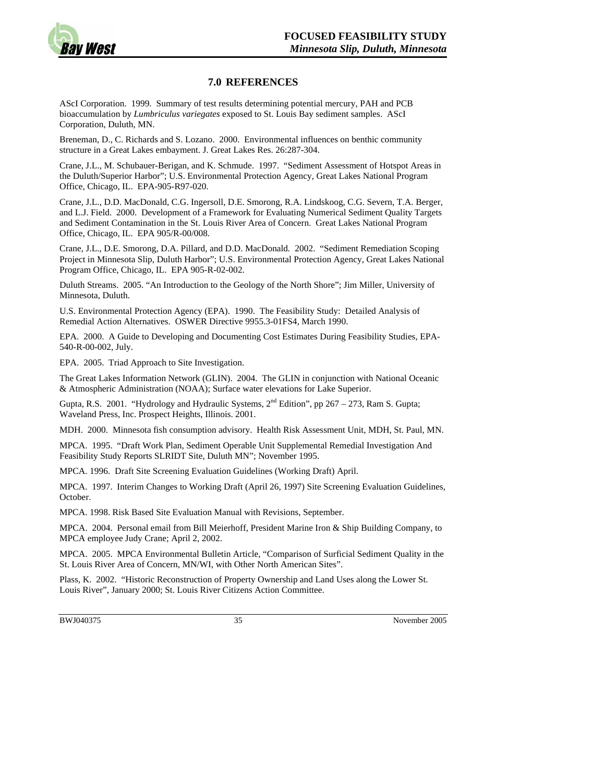<span id="page-41-0"></span>

## **7.0 REFERENCES**

AScI Corporation. 1999. Summary of test results determining potential mercury, PAH and PCB bioaccumulation by *Lumbriculus variegates* exposed to St. Louis Bay sediment samples. AScI Corporation, Duluth, MN.

Breneman, D., C. Richards and S. Lozano. 2000. Environmental influences on benthic community structure in a Great Lakes embayment. J. Great Lakes Res. 26:287-304.

Crane, J.L., M. Schubauer-Berigan, and K. Schmude. 1997. "Sediment Assessment of Hotspot Areas in the Duluth/Superior Harbor"; U.S. Environmental Protection Agency, Great Lakes National Program Office, Chicago, IL. EPA-905-R97-020.

Crane, J.L., D.D. MacDonald, C.G. Ingersoll, D.E. Smorong, R.A. Lindskoog, C.G. Severn, T.A. Berger, and L.J. Field. 2000. Development of a Framework for Evaluating Numerical Sediment Quality Targets and Sediment Contamination in the St. Louis River Area of Concern. Great Lakes National Program Office, Chicago, IL. EPA 905/R-00/008.

Crane, J.L., D.E. Smorong, D.A. Pillard, and D.D. MacDonald*.* 2002. "Sediment Remediation Scoping Project in Minnesota Slip, Duluth Harbor"; U.S. Environmental Protection Agency, Great Lakes National Program Office, Chicago, IL. EPA 905-R-02-002.

Duluth Streams. 2005. "An Introduction to the Geology of the North Shore"; Jim Miller, University of Minnesota, Duluth.

U.S. Environmental Protection Agency (EPA). 1990. The Feasibility Study: Detailed Analysis of Remedial Action Alternatives. OSWER Directive 9955.3-01FS4, March 1990.

EPA. 2000. A Guide to Developing and Documenting Cost Estimates During Feasibility Studies, EPA-540-R-00-002, July.

EPA. 2005. Triad Approach to Site Investigation.

The Great Lakes Information Network (GLIN). 2004. The GLIN in conjunction with National Oceanic & Atmospheric Administration (NOAA); Surface water elevations for Lake Superior.

Gupta, R.S. 2001. "Hydrology and Hydraulic Systems,  $2<sup>nd</sup> Edition$ ", pp 267 – 273, Ram S. Gupta; Waveland Press, Inc. Prospect Heights, Illinois. 2001.

MDH. 2000. Minnesota fish consumption advisory. Health Risk Assessment Unit, MDH, St. Paul, MN.

MPCA. 1995. "Draft Work Plan, Sediment Operable Unit Supplemental Remedial Investigation And Feasibility Study Reports SLRIDT Site, Duluth MN"; November 1995.

MPCA. 1996. Draft Site Screening Evaluation Guidelines (Working Draft) April.

MPCA. 1997. Interim Changes to Working Draft (April 26, 1997) Site Screening Evaluation Guidelines, October.

MPCA. 1998. Risk Based Site Evaluation Manual with Revisions, September.

MPCA. 2004. Personal email from Bill Meierhoff, President Marine Iron & Ship Building Company, to MPCA employee Judy Crane; April 2, 2002.

MPCA. 2005. MPCA Environmental Bulletin Article, "Comparison of Surficial Sediment Quality in the St. Louis River Area of Concern, MN/WI, with Other North American Sites".

Plass, K. 2002. "Historic Reconstruction of Property Ownership and Land Uses along the Lower St. Louis River", January 2000; St. Louis River Citizens Action Committee.

**BWJ040375** November 2005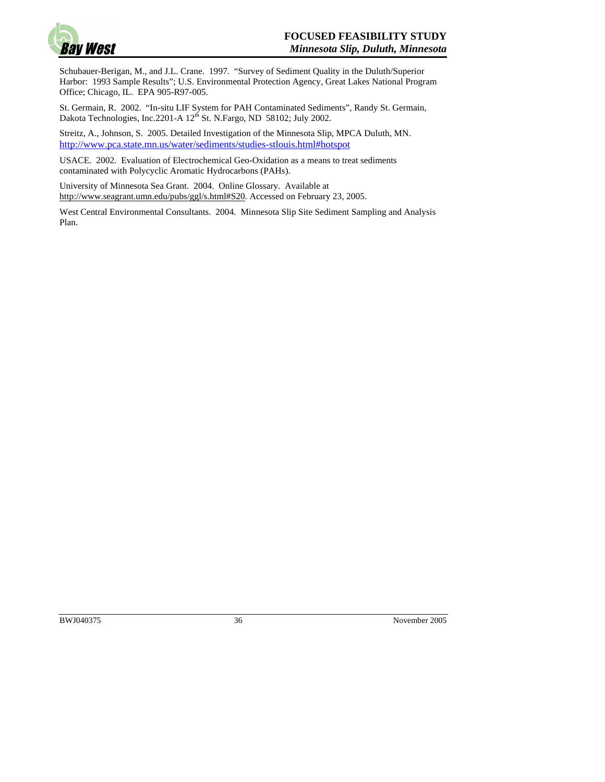

Schubauer-Berigan, M., and J.L. Crane. 1997. "Survey of Sediment Quality in the Duluth/Superior Harbor: 1993 Sample Results"; U.S. Environmental Protection Agency, Great Lakes National Program Office; Chicago, IL. EPA 905-R97-005.

St. Germain, R. 2002. "In-situ LIF System for PAH Contaminated Sediments", Randy St. Germain, Dakota Technologies, Inc.2201-A 12<sup>th</sup> St. N.Fargo, ND 58102; July 2002.

Streitz, A., Johnson, S. 2005. Detailed Investigation of the Minnesota Slip, MPCA Duluth, MN. http://www.pca.state.mn.us/water/sediments/studies-stlouis.html#hotspot

USACE. 2002. Evaluation of Electrochemical Geo-Oxidation as a means to treat sediments contaminated with Polycyclic Aromatic Hydrocarbons (PAHs).

University of Minnesota Sea Grant. 2004. Online Glossary. Available at <http://www.seagrant.umn.edu/pubs/ggl/s.html#S20>. Accessed on February 23, 2005.

West Central Environmental Consultants. 2004. Minnesota Slip Site Sediment Sampling and Analysis Plan.

**BWJ040375** November 2005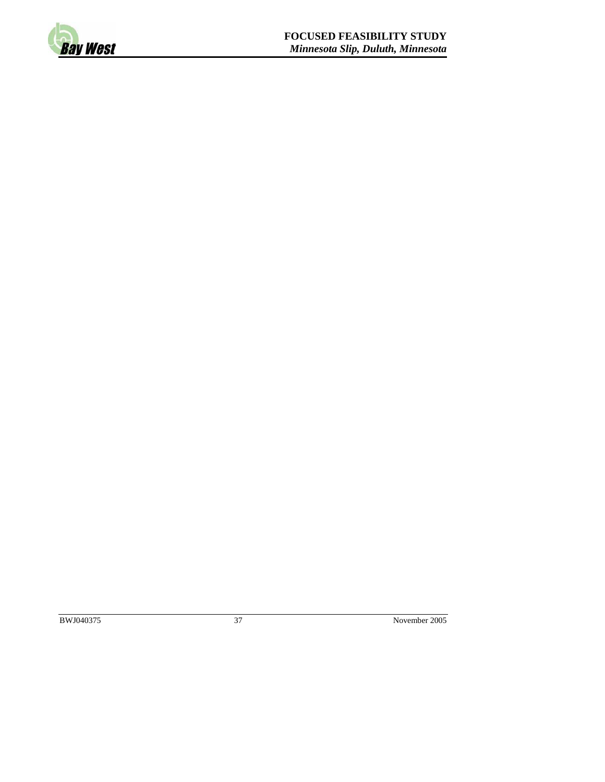

BWJ040375 37 November 2005